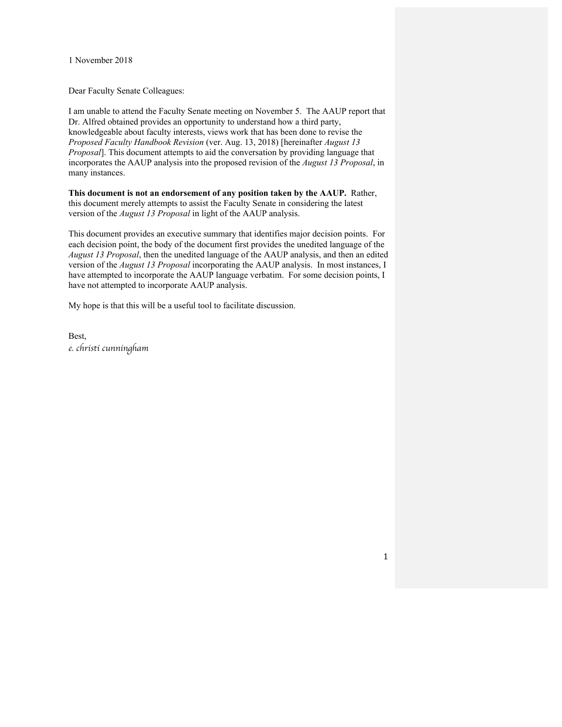1 November 2018

Dear Faculty Senate Colleagues:

I am unable to attend the Faculty Senate meeting on November 5. The AAUP report that Dr. Alfred obtained provides an opportunity to understand how a third party, knowledgeable about faculty interests, views work that has been done to revise the *Proposed Faculty Handbook Revision* (ver. Aug. 13, 2018) [hereinafter *August 13 Proposal*]. This document attempts to aid the conversation by providing language that incorporates the AAUP analysis into the proposed revision of the *August 13 Proposal*, in many instances.

**This document is not an endorsement of any position taken by the AAUP.** Rather, this document merely attempts to assist the Faculty Senate in considering the latest version of the *August 13 Proposal* in light of the AAUP analysis.

This document provides an executive summary that identifies major decision points. For each decision point, the body of the document first provides the unedited language of the *August 13 Proposal*, then the unedited language of the AAUP analysis, and then an edited version of the *August 13 Proposal* incorporating the AAUP analysis. In most instances, I have attempted to incorporate the AAUP language verbatim. For some decision points, I have not attempted to incorporate AAUP analysis.

My hope is that this will be a useful tool to facilitate discussion.

Best, *e. christi cunningham*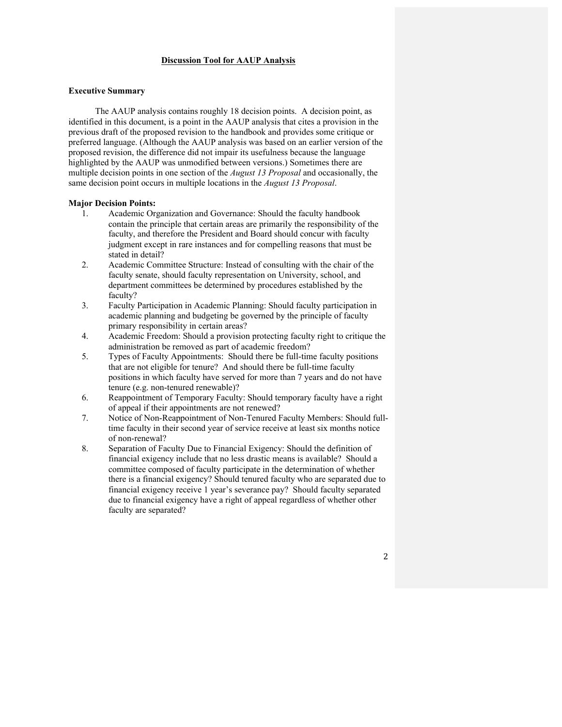## **Discussion Tool for AAUP Analysis**

### **Executive Summary**

The AAUP analysis contains roughly 18 decision points. A decision point, as identified in this document, is a point in the AAUP analysis that cites a provision in the previous draft of the proposed revision to the handbook and provides some critique or preferred language. (Although the AAUP analysis was based on an earlier version of the proposed revision, the difference did not impair its usefulness because the language highlighted by the AAUP was unmodified between versions.) Sometimes there are multiple decision points in one section of the *August 13 Proposal* and occasionally, the same decision point occurs in multiple locations in the *August 13 Proposal*.

#### **Major Decision Points:**

- 1. Academic Organization and Governance: Should the faculty handbook contain the principle that certain areas are primarily the responsibility of the faculty, and therefore the President and Board should concur with faculty judgment except in rare instances and for compelling reasons that must be stated in detail?
- 2. Academic Committee Structure: Instead of consulting with the chair of the faculty senate, should faculty representation on University, school, and department committees be determined by procedures established by the faculty?
- 3. Faculty Participation in Academic Planning: Should faculty participation in academic planning and budgeting be governed by the principle of faculty primary responsibility in certain areas?
- 4. Academic Freedom: Should a provision protecting faculty right to critique the administration be removed as part of academic freedom?
- 5. Types of Faculty Appointments: Should there be full-time faculty positions that are not eligible for tenure? And should there be full-time faculty positions in which faculty have served for more than 7 years and do not have tenure (e.g. non-tenured renewable)?
- 6. Reappointment of Temporary Faculty: Should temporary faculty have a right of appeal if their appointments are not renewed?
- 7. Notice of Non-Reappointment of Non-Tenured Faculty Members: Should fulltime faculty in their second year of service receive at least six months notice of non-renewal?
- 8. Separation of Faculty Due to Financial Exigency: Should the definition of financial exigency include that no less drastic means is available? Should a committee composed of faculty participate in the determination of whether there is a financial exigency? Should tenured faculty who are separated due to financial exigency receive 1 year's severance pay? Should faculty separated due to financial exigency have a right of appeal regardless of whether other faculty are separated?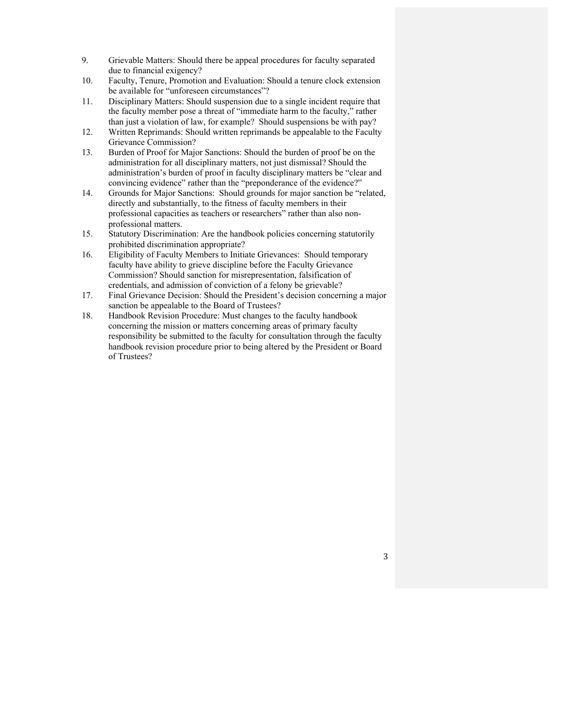- 9. Grievable Matters: Should there be appeal procedures for faculty separated due to financial exigency?
- 10. Faculty, Tenure, Promotion and Evaluation: Should a tenure clock extension be available for "unforeseen circumstances"?
- 11. Disciplinary Matters: Should suspension due to a single incident require that the faculty member pose a threat of "immediate harm to the faculty," rather than just a violation of law, for example? Should suspensions be with pay?
- 12. Written Reprimands: Should written reprimands be appealable to the Faculty Grievance Commission?
- 13. Burden of Proof for Major Sanctions: Should the burden of proof be on the administration for all disciplinary matters, not just dismissal? Should the administration's burden of proof in faculty disciplinary matters be "clear and convincing evidence" rather than the "preponderance of the evidence?"
- 14. Grounds for Major Sanctions: Should grounds for major sanction be "related, directly and substantially, to the fitness of faculty members in their professional capacities as teachers or researchers" rather than also nonprofessional matters.
- 15. Statutory Discrimination: Are the handbook policies concerning statutorily prohibited discrimination appropriate?
- 16. Eligibility of Faculty Members to Initiate Grievances: Should temporary faculty have ability to grieve discipline before the Faculty Grievance Commission? Should sanction for misrepresentation, falsification of credentials, and admission of conviction of a felony be grievable?
- 17. Final Grievance Decision: Should the President's decision concerning a major sanction be appealable to the Board of Trustees?
- 18. Handbook Revision Procedure: Must changes to the faculty handbook concerning the mission or matters concerning areas of primary faculty responsibility be submitted to the faculty for consultation through the faculty handbook revision procedure prior to being altered by the President or Board of Trustees?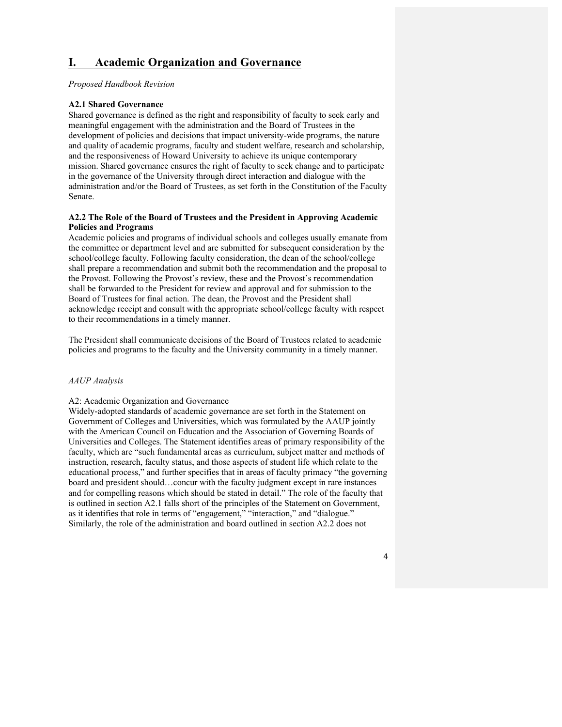## **I. Academic Organization and Governance**

#### *Proposed Handbook Revision*

## **A2.1 Shared Governance**

Shared governance is defined as the right and responsibility of faculty to seek early and meaningful engagement with the administration and the Board of Trustees in the development of policies and decisions that impact university-wide programs, the nature and quality of academic programs, faculty and student welfare, research and scholarship, and the responsiveness of Howard University to achieve its unique contemporary mission. Shared governance ensures the right of faculty to seek change and to participate in the governance of the University through direct interaction and dialogue with the administration and/or the Board of Trustees, as set forth in the Constitution of the Faculty Senate.

## **A2.2 The Role of the Board of Trustees and the President in Approving Academic Policies and Programs**

Academic policies and programs of individual schools and colleges usually emanate from the committee or department level and are submitted for subsequent consideration by the school/college faculty. Following faculty consideration, the dean of the school/college shall prepare a recommendation and submit both the recommendation and the proposal to the Provost. Following the Provost's review, these and the Provost's recommendation shall be forwarded to the President for review and approval and for submission to the Board of Trustees for final action. The dean, the Provost and the President shall acknowledge receipt and consult with the appropriate school/college faculty with respect to their recommendations in a timely manner.

The President shall communicate decisions of the Board of Trustees related to academic policies and programs to the faculty and the University community in a timely manner.

### *AAUP Analysis*

#### A2: Academic Organization and Governance

Widely-adopted standards of academic governance are set forth in the Statement on Government of Colleges and Universities, which was formulated by the AAUP jointly with the American Council on Education and the Association of Governing Boards of Universities and Colleges. The Statement identifies areas of primary responsibility of the faculty, which are "such fundamental areas as curriculum, subject matter and methods of instruction, research, faculty status, and those aspects of student life which relate to the educational process," and further specifies that in areas of faculty primacy "the governing board and president should…concur with the faculty judgment except in rare instances and for compelling reasons which should be stated in detail." The role of the faculty that is outlined in section A2.1 falls short of the principles of the Statement on Government, as it identifies that role in terms of "engagement," "interaction," and "dialogue." Similarly, the role of the administration and board outlined in section A2.2 does not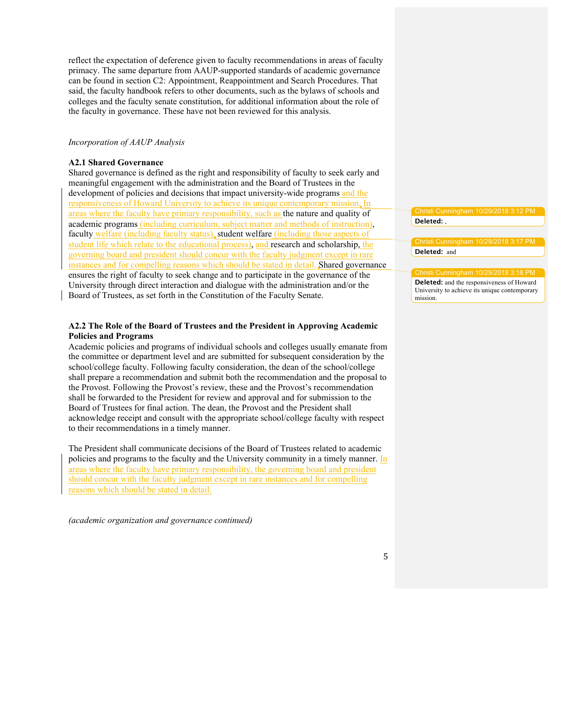reflect the expectation of deference given to faculty recommendations in areas of faculty primacy. The same departure from AAUP-supported standards of academic governance can be found in section C2: Appointment, Reappointment and Search Procedures. That said, the faculty handbook refers to other documents, such as the bylaws of schools and colleges and the faculty senate constitution, for additional information about the role of the faculty in governance. These have not been reviewed for this analysis.

### *Incorporation of AAUP Analysis*

#### **A2.1 Shared Governance**

Shared governance is defined as the right and responsibility of faculty to seek early and meaningful engagement with the administration and the Board of Trustees in the development of policies and decisions that impact university-wide programs and the responsiveness of Howard University to achieve its unique contemporary mission. In areas where the faculty have primary responsibility, such as the nature and quality of academic programs (including curriculum, subject matter and methods of instruction), faculty welfare (including faculty status), student welfare (including those aspects of student life which relate to the educational process), and research and scholarship, the governing board and president should concur with the faculty judgment except in rare instances and for compelling reasons which should be stated in detail. Shared governance ensures the right of faculty to seek change and to participate in the governance of the University through direct interaction and dialogue with the administration and/or the Board of Trustees, as set forth in the Constitution of the Faculty Senate.

## **A2.2 The Role of the Board of Trustees and the President in Approving Academic Policies and Programs**

Academic policies and programs of individual schools and colleges usually emanate from the committee or department level and are submitted for subsequent consideration by the school/college faculty. Following faculty consideration, the dean of the school/college shall prepare a recommendation and submit both the recommendation and the proposal to the Provost. Following the Provost's review, these and the Provost's recommendation shall be forwarded to the President for review and approval and for submission to the Board of Trustees for final action. The dean, the Provost and the President shall acknowledge receipt and consult with the appropriate school/college faculty with respect to their recommendations in a timely manner.

The President shall communicate decisions of the Board of Trustees related to academic policies and programs to the faculty and the University community in a timely manner. In areas where the faculty have primary responsibility, the governing board and president should concur with the faculty judgment except in rare instances and for compelling reasons which should be stated in detail.

*(academic organization and governance continued)*

Christi Cunningham 10/29/2018 3:12 P **Deleted:** ,

**Deleted:** and

#### Cunningham 10/29/

**Deleted:** and the responsiveness of Howard University to achieve its unique contemporary mission.

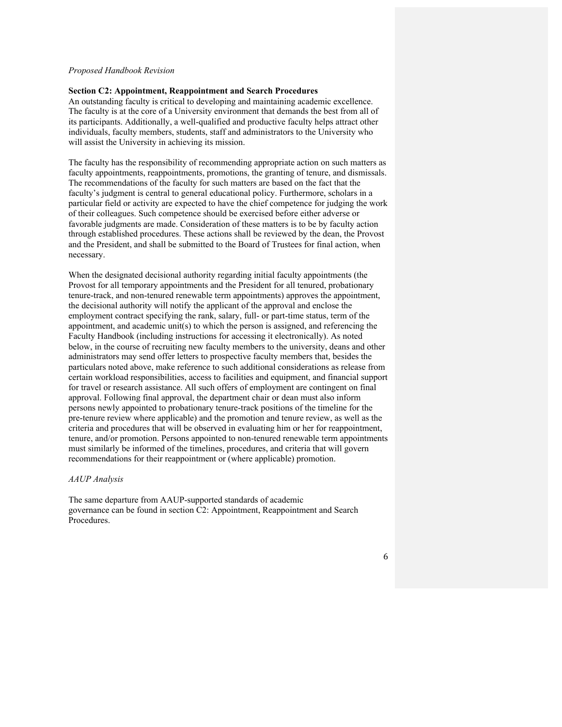#### *Proposed Handbook Revision*

## **Section C2: Appointment, Reappointment and Search Procedures**

An outstanding faculty is critical to developing and maintaining academic excellence. The faculty is at the core of a University environment that demands the best from all of its participants. Additionally, a well-qualified and productive faculty helps attract other individuals, faculty members, students, staff and administrators to the University who will assist the University in achieving its mission.

The faculty has the responsibility of recommending appropriate action on such matters as faculty appointments, reappointments, promotions, the granting of tenure, and dismissals. The recommendations of the faculty for such matters are based on the fact that the faculty's judgment is central to general educational policy. Furthermore, scholars in a particular field or activity are expected to have the chief competence for judging the work of their colleagues. Such competence should be exercised before either adverse or favorable judgments are made. Consideration of these matters is to be by faculty action through established procedures. These actions shall be reviewed by the dean, the Provost and the President, and shall be submitted to the Board of Trustees for final action, when necessary.

When the designated decisional authority regarding initial faculty appointments (the Provost for all temporary appointments and the President for all tenured, probationary tenure-track, and non-tenured renewable term appointments) approves the appointment, the decisional authority will notify the applicant of the approval and enclose the employment contract specifying the rank, salary, full- or part-time status, term of the appointment, and academic unit(s) to which the person is assigned, and referencing the Faculty Handbook (including instructions for accessing it electronically). As noted below, in the course of recruiting new faculty members to the university, deans and other administrators may send offer letters to prospective faculty members that, besides the particulars noted above, make reference to such additional considerations as release from certain workload responsibilities, access to facilities and equipment, and financial support for travel or research assistance. All such offers of employment are contingent on final approval. Following final approval, the department chair or dean must also inform persons newly appointed to probationary tenure-track positions of the timeline for the pre-tenure review where applicable) and the promotion and tenure review, as well as the criteria and procedures that will be observed in evaluating him or her for reappointment, tenure, and/or promotion. Persons appointed to non-tenured renewable term appointments must similarly be informed of the timelines, procedures, and criteria that will govern recommendations for their reappointment or (where applicable) promotion.

#### *AAUP Analysis*

The same departure from AAUP-supported standards of academic governance can be found in section C2: Appointment, Reappointment and Search Procedures.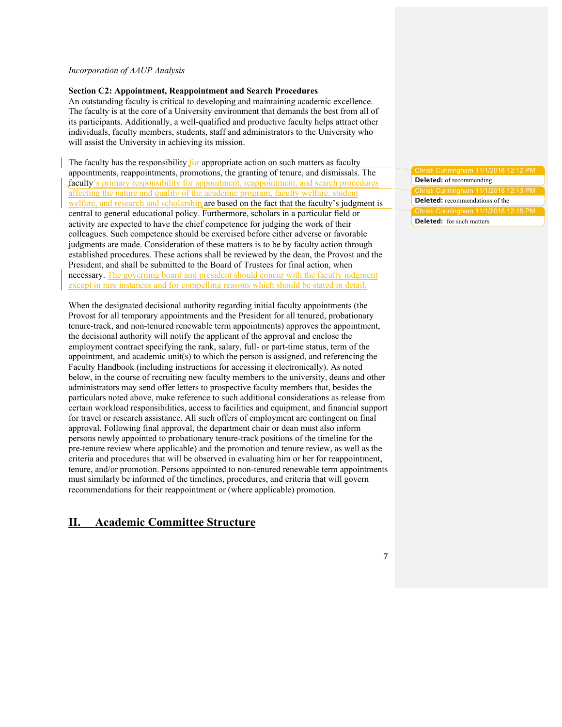#### *Incorporation of AAUP Analysis*

## **Section C2: Appointment, Reappointment and Search Procedures**

An outstanding faculty is critical to developing and maintaining academic excellence. The faculty is at the core of a University environment that demands the best from all of its participants. Additionally, a well-qualified and productive faculty helps attract other individuals, faculty members, students, staff and administrators to the University who will assist the University in achieving its mission.

The faculty has the responsibility for appropriate action on such matters as faculty appointments, reappointments, promotions, the granting of tenure, and dismissals. The faculty's primary responsibility for appointment, reappointment, and search procedures affecting the nature and quality of the academic program, faculty welfare, student welfare, and research and scholarship are based on the fact that the faculty's judgment is central to general educational policy. Furthermore, scholars in a particular field or activity are expected to have the chief competence for judging the work of their colleagues. Such competence should be exercised before either adverse or favorable judgments are made. Consideration of these matters is to be by faculty action through established procedures. These actions shall be reviewed by the dean, the Provost and the President, and shall be submitted to the Board of Trustees for final action, when necessary. The governing board and president should concur with the faculty judgment except in rare instances and for compelling reasons which should be stated in detail.

When the designated decisional authority regarding initial faculty appointments (the Provost for all temporary appointments and the President for all tenured, probationary tenure-track, and non-tenured renewable term appointments) approves the appointment, the decisional authority will notify the applicant of the approval and enclose the employment contract specifying the rank, salary, full- or part-time status, term of the appointment, and academic unit(s) to which the person is assigned, and referencing the Faculty Handbook (including instructions for accessing it electronically). As noted below, in the course of recruiting new faculty members to the university, deans and other administrators may send offer letters to prospective faculty members that, besides the particulars noted above, make reference to such additional considerations as release from certain workload responsibilities, access to facilities and equipment, and financial support for travel or research assistance. All such offers of employment are contingent on final approval. Following final approval, the department chair or dean must also inform persons newly appointed to probationary tenure-track positions of the timeline for the pre-tenure review where applicable) and the promotion and tenure review, as well as the criteria and procedures that will be observed in evaluating him or her for reappointment, tenure, and/or promotion. Persons appointed to non-tenured renewable term appointments must similarly be informed of the timelines, procedures, and criteria that will govern recommendations for their reappointment or (where applicable) promotion.

## **II. Academic Committee Structure**

Christi Cunningham 11/1/2018 12:12 **Deleted:** of recommending Christi Cunningham 11/1/2018 12:13 PM **Deleted:** recommendations of the Christi Cunningham 11/1/2018 12:15 PM **Deleted:** for such matters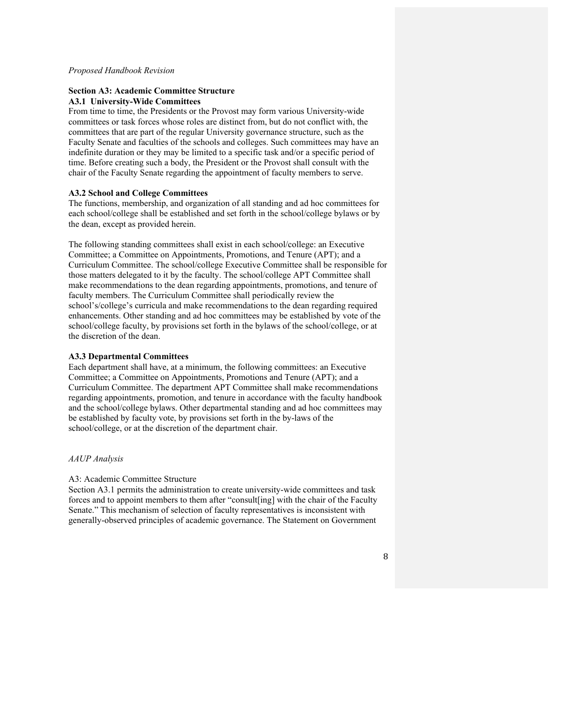#### *Proposed Handbook Revision*

## **Section A3: Academic Committee Structure A3.1 University-Wide Committees**

From time to time, the Presidents or the Provost may form various University-wide committees or task forces whose roles are distinct from, but do not conflict with, the committees that are part of the regular University governance structure, such as the Faculty Senate and faculties of the schools and colleges. Such committees may have an indefinite duration or they may be limited to a specific task and/or a specific period of time. Before creating such a body, the President or the Provost shall consult with the chair of the Faculty Senate regarding the appointment of faculty members to serve.

#### **A3.2 School and College Committees**

The functions, membership, and organization of all standing and ad hoc committees for each school/college shall be established and set forth in the school/college bylaws or by the dean, except as provided herein.

The following standing committees shall exist in each school/college: an Executive Committee; a Committee on Appointments, Promotions, and Tenure (APT); and a Curriculum Committee. The school/college Executive Committee shall be responsible for those matters delegated to it by the faculty. The school/college APT Committee shall make recommendations to the dean regarding appointments, promotions, and tenure of faculty members. The Curriculum Committee shall periodically review the school's/college's curricula and make recommendations to the dean regarding required enhancements. Other standing and ad hoc committees may be established by vote of the school/college faculty, by provisions set forth in the bylaws of the school/college, or at the discretion of the dean.

### **A3.3 Departmental Committees**

Each department shall have, at a minimum, the following committees: an Executive Committee; a Committee on Appointments, Promotions and Tenure (APT); and a Curriculum Committee. The department APT Committee shall make recommendations regarding appointments, promotion, and tenure in accordance with the faculty handbook and the school/college bylaws. Other departmental standing and ad hoc committees may be established by faculty vote, by provisions set forth in the by-laws of the school/college, or at the discretion of the department chair.

#### *AAUP Analysis*

#### A3: Academic Committee Structure

Section A3.1 permits the administration to create university-wide committees and task forces and to appoint members to them after "consult[ing] with the chair of the Faculty Senate." This mechanism of selection of faculty representatives is inconsistent with generally-observed principles of academic governance. The Statement on Government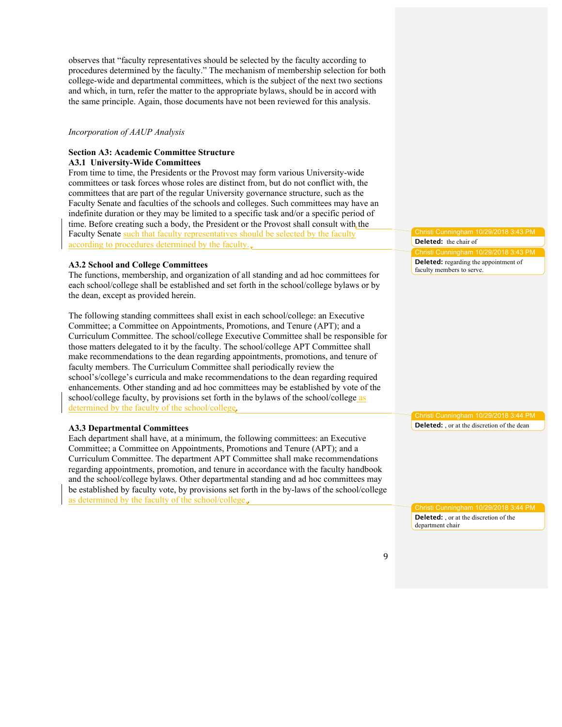observes that "faculty representatives should be selected by the faculty according to procedures determined by the faculty." The mechanism of membership selection for both college-wide and departmental committees, which is the subject of the next two sections and which, in turn, refer the matter to the appropriate bylaws, should be in accord with the same principle. Again, those documents have not been reviewed for this analysis.

#### *Incorporation of AAUP Analysis*

# **Section A3: Academic Committee Structure**

## **A3.1 University-Wide Committees**

From time to time, the Presidents or the Provost may form various University-wide committees or task forces whose roles are distinct from, but do not conflict with, the committees that are part of the regular University governance structure, such as the Faculty Senate and faculties of the schools and colleges. Such committees may have an indefinite duration or they may be limited to a specific task and/or a specific period of time. Before creating such a body, the President or the Provost shall consult with the Faculty Senate such that faculty representatives should be selected by the faculty according to procedures determined by the faculty.

## **A3.2 School and College Committees**

The functions, membership, and organization of all standing and ad hoc committees for each school/college shall be established and set forth in the school/college bylaws or by the dean, except as provided herein.

The following standing committees shall exist in each school/college: an Executive Committee; a Committee on Appointments, Promotions, and Tenure (APT); and a Curriculum Committee. The school/college Executive Committee shall be responsible for those matters delegated to it by the faculty. The school/college APT Committee shall make recommendations to the dean regarding appointments, promotions, and tenure of faculty members. The Curriculum Committee shall periodically review the school's/college's curricula and make recommendations to the dean regarding required enhancements. Other standing and ad hoc committees may be established by vote of the school/college faculty, by provisions set forth in the bylaws of the school/college as determined by the faculty of the school/college.

#### **A3.3 Departmental Committees**

Each department shall have, at a minimum, the following committees: an Executive Committee; a Committee on Appointments, Promotions and Tenure (APT); and a Curriculum Committee. The department APT Committee shall make recommendations regarding appointments, promotion, and tenure in accordance with the faculty handbook and the school/college bylaws. Other departmental standing and ad hoc committees may be established by faculty vote, by provisions set forth in the by-laws of the school/college as determined by the faculty of the school/college..

Christi Cunningham 10/29/2018 3:43 PM **Deleted:** the chair of

Cunningham 10/29/2018 3:43 PM **Deleted:** regarding the appointment of faculty members to serve.

Cunningham 10/29/2018 **Deleted:** , or at the discretion of the dean

**Deleted:** , or at the discretion of the department chair

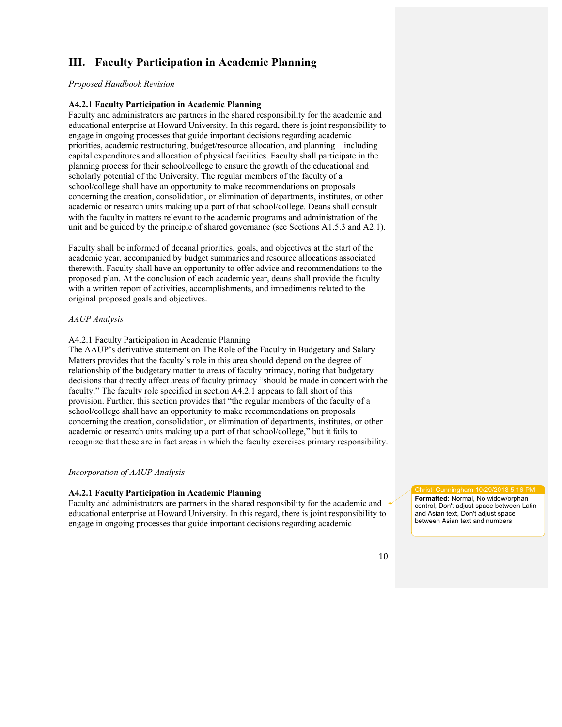# **III. Faculty Participation in Academic Planning**

## *Proposed Handbook Revision*

## **A4.2.1 Faculty Participation in Academic Planning**

Faculty and administrators are partners in the shared responsibility for the academic and educational enterprise at Howard University. In this regard, there is joint responsibility to engage in ongoing processes that guide important decisions regarding academic priorities, academic restructuring, budget/resource allocation, and planning—including capital expenditures and allocation of physical facilities. Faculty shall participate in the planning process for their school/college to ensure the growth of the educational and scholarly potential of the University. The regular members of the faculty of a school/college shall have an opportunity to make recommendations on proposals concerning the creation, consolidation, or elimination of departments, institutes, or other academic or research units making up a part of that school/college. Deans shall consult with the faculty in matters relevant to the academic programs and administration of the unit and be guided by the principle of shared governance (see Sections A1.5.3 and A2.1).

Faculty shall be informed of decanal priorities, goals, and objectives at the start of the academic year, accompanied by budget summaries and resource allocations associated therewith. Faculty shall have an opportunity to offer advice and recommendations to the proposed plan. At the conclusion of each academic year, deans shall provide the faculty with a written report of activities, accomplishments, and impediments related to the original proposed goals and objectives.

## *AAUP Analysis*

A4.2.1 Faculty Participation in Academic Planning

The AAUP's derivative statement on The Role of the Faculty in Budgetary and Salary Matters provides that the faculty's role in this area should depend on the degree of relationship of the budgetary matter to areas of faculty primacy, noting that budgetary decisions that directly affect areas of faculty primacy "should be made in concert with the faculty." The faculty role specified in section A4.2.1 appears to fall short of this provision. Further, this section provides that "the regular members of the faculty of a school/college shall have an opportunity to make recommendations on proposals concerning the creation, consolidation, or elimination of departments, institutes, or other academic or research units making up a part of that school/college," but it fails to recognize that these are in fact areas in which the faculty exercises primary responsibility.

### *Incorporation of AAUP Analysis*

### **A4.2.1 Faculty Participation in Academic Planning**

Faculty and administrators are partners in the shared responsibility for the academic and educational enterprise at Howard University. In this regard, there is joint responsibility to engage in ongoing processes that guide important decisions regarding academic

#### Christi Cunningham 10/29/2018 5:16 PM

**Formatted:** Normal, No widow/orphan control, Don't adjust space between Latin and Asian text, Don't adjust space between Asian text and numbers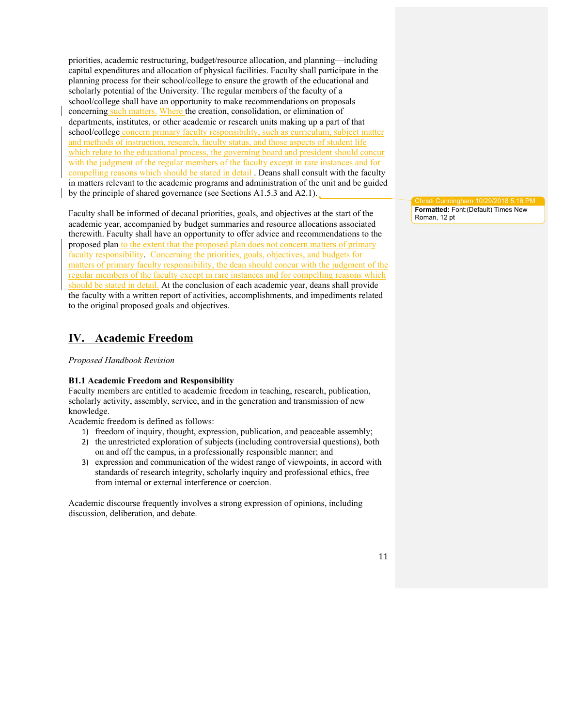priorities, academic restructuring, budget/resource allocation, and planning—including capital expenditures and allocation of physical facilities. Faculty shall participate in the planning process for their school/college to ensure the growth of the educational and scholarly potential of the University. The regular members of the faculty of a school/college shall have an opportunity to make recommendations on proposals concerning such matters. Where the creation, consolidation, or elimination of departments, institutes, or other academic or research units making up a part of that school/college concern primary faculty responsibility, such as curriculum, subject matter and methods of instruction, research, faculty status, and those aspects of student life which relate to the educational process, the governing board and president should concur with the judgment of the regular members of the faculty except in rare instances and for compelling reasons which should be stated in detail . Deans shall consult with the faculty in matters relevant to the academic programs and administration of the unit and be guided

by the principle of shared governance (see Sections A1.5.3 and A2.1).

Faculty shall be informed of decanal priorities, goals, and objectives at the start of the academic year, accompanied by budget summaries and resource allocations associated therewith. Faculty shall have an opportunity to offer advice and recommendations to the proposed plan to the extent that the proposed plan does not concern matters of primary faculty responsibility. Concerning the priorities, goals, objectives, and budgets for matters of primary faculty responsibility, the dean should concur with the judgment of the regular members of the faculty except in rare instances and for compelling reasons which should be stated in detail. At the conclusion of each academic year, deans shall provide the faculty with a written report of activities, accomplishments, and impediments related to the original proposed goals and objectives.

## **IV. Academic Freedom**

## *Proposed Handbook Revision*

## **B1.1 Academic Freedom and Responsibility**

Faculty members are entitled to academic freedom in teaching, research, publication, scholarly activity, assembly, service, and in the generation and transmission of new knowledge.

Academic freedom is defined as follows:

- 1) freedom of inquiry, thought, expression, publication, and peaceable assembly;
- 2) the unrestricted exploration of subjects (including controversial questions), both on and off the campus, in a professionally responsible manner; and
- 3) expression and communication of the widest range of viewpoints, in accord with standards of research integrity, scholarly inquiry and professional ethics, free from internal or external interference or coercion.

Academic discourse frequently involves a strong expression of opinions, including discussion, deliberation, and debate.

**Formatted:** Font:(Default) Times New Roman, 12 pt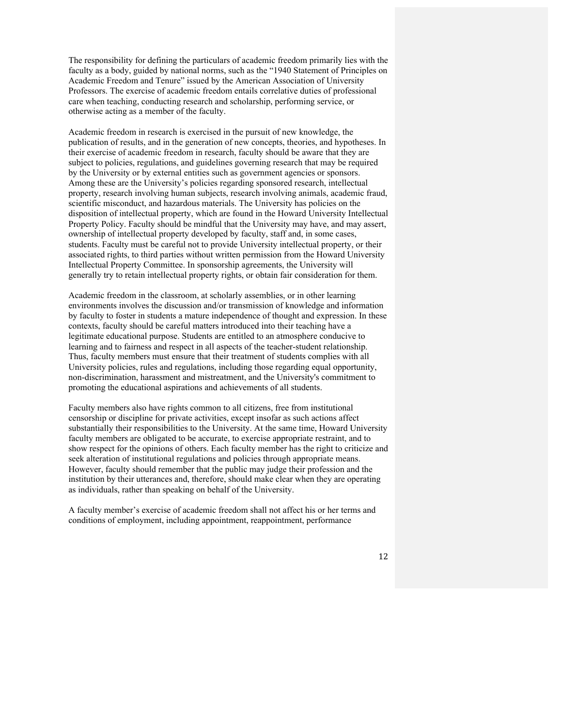The responsibility for defining the particulars of academic freedom primarily lies with the faculty as a body, guided by national norms, such as the "1940 Statement of Principles on Academic Freedom and Tenure" issued by the American Association of University Professors. The exercise of academic freedom entails correlative duties of professional care when teaching, conducting research and scholarship, performing service, or otherwise acting as a member of the faculty.

Academic freedom in research is exercised in the pursuit of new knowledge, the publication of results, and in the generation of new concepts, theories, and hypotheses. In their exercise of academic freedom in research, faculty should be aware that they are subject to policies, regulations, and guidelines governing research that may be required by the University or by external entities such as government agencies or sponsors. Among these are the University's policies regarding sponsored research, intellectual property, research involving human subjects, research involving animals, academic fraud, scientific misconduct, and hazardous materials. The University has policies on the disposition of intellectual property, which are found in the Howard University Intellectual Property Policy. Faculty should be mindful that the University may have, and may assert, ownership of intellectual property developed by faculty, staff and, in some cases, students. Faculty must be careful not to provide University intellectual property, or their associated rights, to third parties without written permission from the Howard University Intellectual Property Committee. In sponsorship agreements, the University will generally try to retain intellectual property rights, or obtain fair consideration for them.

Academic freedom in the classroom, at scholarly assemblies, or in other learning environments involves the discussion and/or transmission of knowledge and information by faculty to foster in students a mature independence of thought and expression. In these contexts, faculty should be careful matters introduced into their teaching have a legitimate educational purpose. Students are entitled to an atmosphere conducive to learning and to fairness and respect in all aspects of the teacher-student relationship. Thus, faculty members must ensure that their treatment of students complies with all University policies, rules and regulations, including those regarding equal opportunity, non-discrimination, harassment and mistreatment, and the University's commitment to promoting the educational aspirations and achievements of all students.

Faculty members also have rights common to all citizens, free from institutional censorship or discipline for private activities, except insofar as such actions affect substantially their responsibilities to the University. At the same time, Howard University faculty members are obligated to be accurate, to exercise appropriate restraint, and to show respect for the opinions of others. Each faculty member has the right to criticize and seek alteration of institutional regulations and policies through appropriate means. However, faculty should remember that the public may judge their profession and the institution by their utterances and, therefore, should make clear when they are operating as individuals, rather than speaking on behalf of the University.

A faculty member's exercise of academic freedom shall not affect his or her terms and conditions of employment, including appointment, reappointment, performance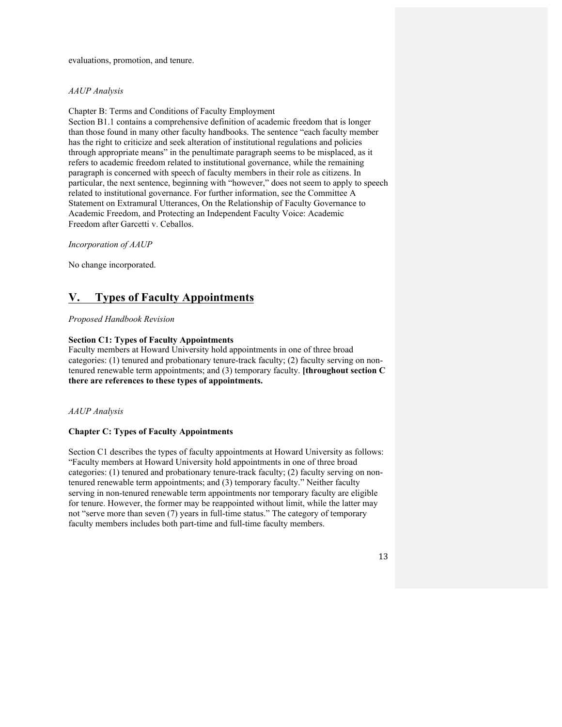evaluations, promotion, and tenure.

*AAUP Analysis*

Chapter B: Terms and Conditions of Faculty Employment Section B1.1 contains a comprehensive definition of academic freedom that is longer than those found in many other faculty handbooks. The sentence "each faculty member has the right to criticize and seek alteration of institutional regulations and policies through appropriate means" in the penultimate paragraph seems to be misplaced, as it refers to academic freedom related to institutional governance, while the remaining paragraph is concerned with speech of faculty members in their role as citizens. In particular, the next sentence, beginning with "however," does not seem to apply to speech related to institutional governance. For further information, see the Committee A Statement on Extramural Utterances, On the Relationship of Faculty Governance to Academic Freedom, and Protecting an Independent Faculty Voice: Academic Freedom after Garcetti v. Ceballos.

*Incorporation of AAUP*

No change incorporated.

## **V. Types of Faculty Appointments**

*Proposed Handbook Revision*

## **Section C1: Types of Faculty Appointments**

Faculty members at Howard University hold appointments in one of three broad categories: (1) tenured and probationary tenure-track faculty; (2) faculty serving on nontenured renewable term appointments; and (3) temporary faculty. **[throughout section C there are references to these types of appointments.**

*AAUP Analysis*

## **Chapter C: Types of Faculty Appointments**

Section C1 describes the types of faculty appointments at Howard University as follows: "Faculty members at Howard University hold appointments in one of three broad categories: (1) tenured and probationary tenure-track faculty; (2) faculty serving on nontenured renewable term appointments; and (3) temporary faculty." Neither faculty serving in non-tenured renewable term appointments nor temporary faculty are eligible for tenure. However, the former may be reappointed without limit, while the latter may not "serve more than seven (7) years in full-time status." The category of temporary faculty members includes both part-time and full-time faculty members.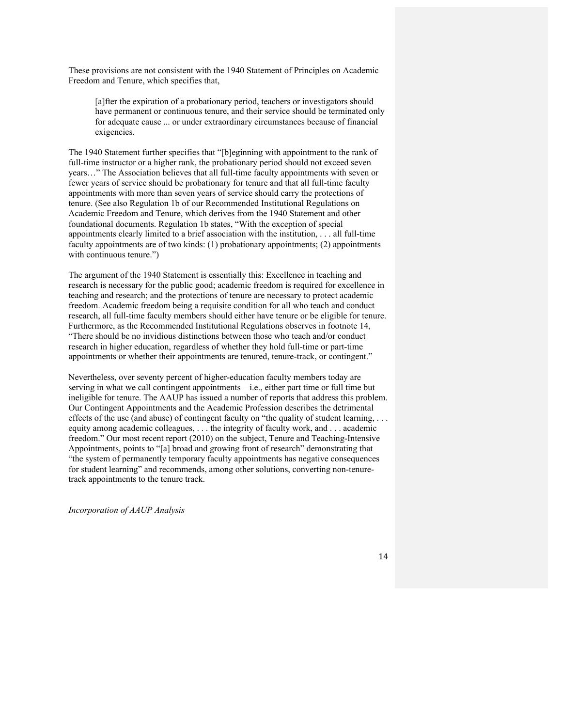These provisions are not consistent with the 1940 Statement of Principles on Academic Freedom and Tenure, which specifies that,

[a]fter the expiration of a probationary period, teachers or investigators should have permanent or continuous tenure, and their service should be terminated only for adequate cause ... or under extraordinary circumstances because of financial exigencies.

The 1940 Statement further specifies that "[b]eginning with appointment to the rank of full-time instructor or a higher rank, the probationary period should not exceed seven years…" The Association believes that all full-time faculty appointments with seven or fewer years of service should be probationary for tenure and that all full-time faculty appointments with more than seven years of service should carry the protections of tenure. (See also Regulation 1b of our Recommended Institutional Regulations on Academic Freedom and Tenure, which derives from the 1940 Statement and other foundational documents. Regulation 1b states, "With the exception of special appointments clearly limited to a brief association with the institution, . . . all full-time faculty appointments are of two kinds: (1) probationary appointments; (2) appointments with continuous tenure."

The argument of the 1940 Statement is essentially this: Excellence in teaching and research is necessary for the public good; academic freedom is required for excellence in teaching and research; and the protections of tenure are necessary to protect academic freedom. Academic freedom being a requisite condition for all who teach and conduct research, all full-time faculty members should either have tenure or be eligible for tenure. Furthermore, as the Recommended Institutional Regulations observes in footnote 14, "There should be no invidious distinctions between those who teach and/or conduct research in higher education, regardless of whether they hold full-time or part-time appointments or whether their appointments are tenured, tenure-track, or contingent."

Nevertheless, over seventy percent of higher-education faculty members today are serving in what we call contingent appointments—i.e., either part time or full time but ineligible for tenure. The AAUP has issued a number of reports that address this problem. Our Contingent Appointments and the Academic Profession describes the detrimental effects of the use (and abuse) of contingent faculty on "the quality of student learning, ... equity among academic colleagues, . . . the integrity of faculty work, and . . . academic freedom." Our most recent report (2010) on the subject, Tenure and Teaching-Intensive Appointments, points to "[a] broad and growing front of research" demonstrating that "the system of permanently temporary faculty appointments has negative consequences for student learning" and recommends, among other solutions, converting non-tenuretrack appointments to the tenure track.

*Incorporation of AAUP Analysis*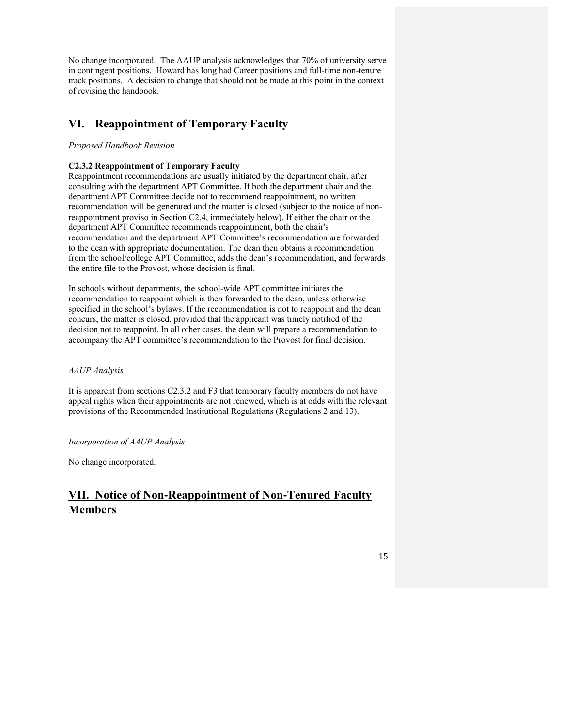No change incorporated. The AAUP analysis acknowledges that 70% of university serve in contingent positions. Howard has long had Career positions and full-time non-tenure track positions. A decision to change that should not be made at this point in the context of revising the handbook.

## **VI. Reappointment of Temporary Faculty**

## *Proposed Handbook Revision*

## **C2.3.2 Reappointment of Temporary Faculty**

Reappointment recommendations are usually initiated by the department chair, after consulting with the department APT Committee. If both the department chair and the department APT Committee decide not to recommend reappointment, no written recommendation will be generated and the matter is closed (subject to the notice of nonreappointment proviso in Section C2.4, immediately below). If either the chair or the department APT Committee recommends reappointment, both the chair's recommendation and the department APT Committee's recommendation are forwarded to the dean with appropriate documentation. The dean then obtains a recommendation from the school/college APT Committee, adds the dean's recommendation, and forwards the entire file to the Provost, whose decision is final.

In schools without departments, the school-wide APT committee initiates the recommendation to reappoint which is then forwarded to the dean, unless otherwise specified in the school's bylaws. If the recommendation is not to reappoint and the dean concurs, the matter is closed, provided that the applicant was timely notified of the decision not to reappoint. In all other cases, the dean will prepare a recommendation to accompany the APT committee's recommendation to the Provost for final decision.

#### *AAUP Analysis*

It is apparent from sections C2.3.2 and F3 that temporary faculty members do not have appeal rights when their appointments are not renewed, which is at odds with the relevant provisions of the Recommended Institutional Regulations (Regulations 2 and 13).

*Incorporation of AAUP Analysis*

No change incorporated.

# **VII. Notice of Non‐Reappointment of Non‐Tenured Faculty Members**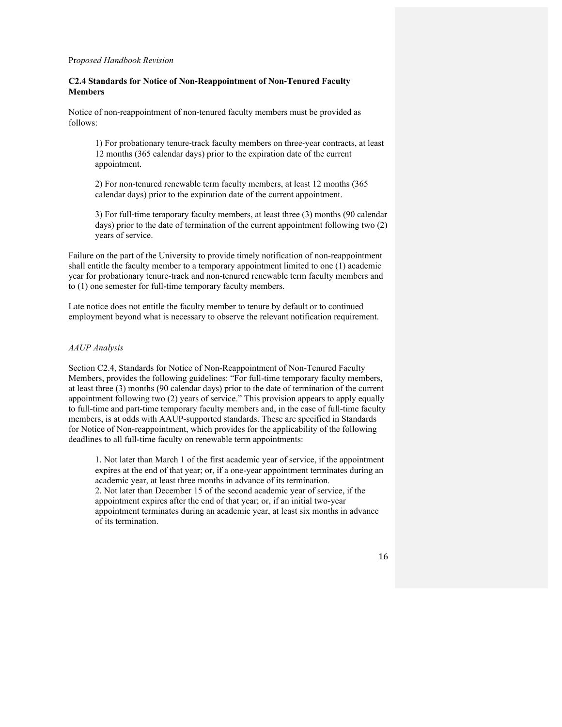### Pr*oposed Handbook Revision*

## **C2.4 Standards for Notice of Non‐Reappointment of Non‐Tenured Faculty Members**

Notice of non‐reappointment of non‐tenured faculty members must be provided as follows:

1) For probationary tenure‐track faculty members on three‐year contracts, at least 12 months (365 calendar days) prior to the expiration date of the current appointment.

2) For non-tenured renewable term faculty members, at least 12 months (365) calendar days) prior to the expiration date of the current appointment.

3) For full‐time temporary faculty members, at least three (3) months (90 calendar days) prior to the date of termination of the current appointment following two (2) years of service.

Failure on the part of the University to provide timely notification of non-reappointment shall entitle the faculty member to a temporary appointment limited to one (1) academic year for probationary tenure-track and non-tenured renewable term faculty members and to (1) one semester for full-time temporary faculty members.

Late notice does not entitle the faculty member to tenure by default or to continued employment beyond what is necessary to observe the relevant notification requirement.

## *AAUP Analysis*

Section C2.4, Standards for Notice of Non-Reappointment of Non-Tenured Faculty Members, provides the following guidelines: "For full-time temporary faculty members, at least three (3) months (90 calendar days) prior to the date of termination of the current appointment following two (2) years of service." This provision appears to apply equally to full-time and part-time temporary faculty members and, in the case of full-time faculty members, is at odds with AAUP-supported standards. These are specified in Standards for Notice of Non-reappointment, which provides for the applicability of the following deadlines to all full-time faculty on renewable term appointments:

1. Not later than March 1 of the first academic year of service, if the appointment expires at the end of that year; or, if a one-year appointment terminates during an academic year, at least three months in advance of its termination. 2. Not later than December 15 of the second academic year of service, if the appointment expires after the end of that year; or, if an initial two-year appointment terminates during an academic year, at least six months in advance of its termination.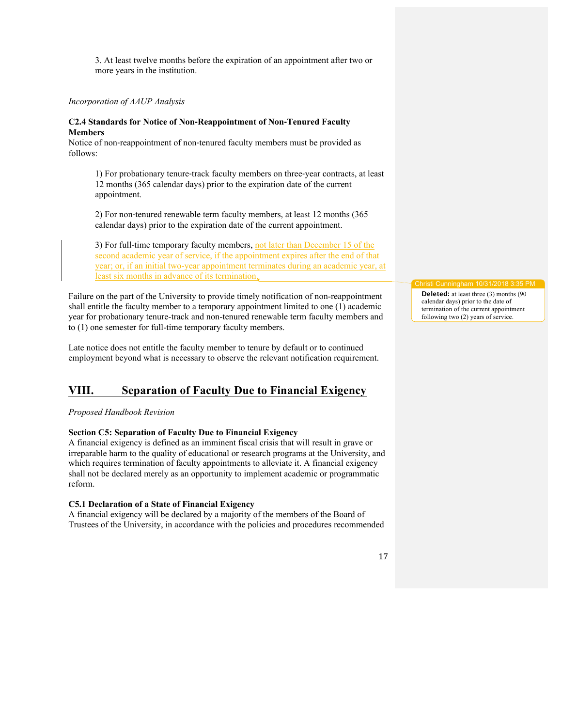3. At least twelve months before the expiration of an appointment after two or more years in the institution.

## *Incorporation of AAUP Analysis*

## **C2.4 Standards for Notice of Non‐Reappointment of Non‐Tenured Faculty Members**

Notice of non‐reappointment of non‐tenured faculty members must be provided as follows:

1) For probationary tenure‐track faculty members on three‐year contracts, at least 12 months (365 calendar days) prior to the expiration date of the current appointment.

2) For non-tenured renewable term faculty members, at least 12 months (365) calendar days) prior to the expiration date of the current appointment.

3) For full‐time temporary faculty members, not later than December 15 of the second academic year of service, if the appointment expires after the end of that year; or, if an initial two-year appointment terminates during an academic year, at least six months in advance of its termination.

Failure on the part of the University to provide timely notification of non-reappointment shall entitle the faculty member to a temporary appointment limited to one (1) academic year for probationary tenure-track and non-tenured renewable term faculty members and to (1) one semester for full-time temporary faculty members.

Late notice does not entitle the faculty member to tenure by default or to continued employment beyond what is necessary to observe the relevant notification requirement.

## **VIII. Separation of Faculty Due to Financial Exigency**

## *Proposed Handbook Revision*

## **Section C5: Separation of Faculty Due to Financial Exigency**

A financial exigency is defined as an imminent fiscal crisis that will result in grave or irreparable harm to the quality of educational or research programs at the University, and which requires termination of faculty appointments to alleviate it. A financial exigency shall not be declared merely as an opportunity to implement academic or programmatic reform.

## **C5.1 Declaration of a State of Financial Exigency**

A financial exigency will be declared by a majority of the members of the Board of Trustees of the University, in accordance with the policies and procedures recommended

#### Christi Cunningham 10/31/2018 3:35 PM

**Deleted:** at least three (3) months (90 calendar days) prior to the date of termination of the current appointment following two (2) years of service.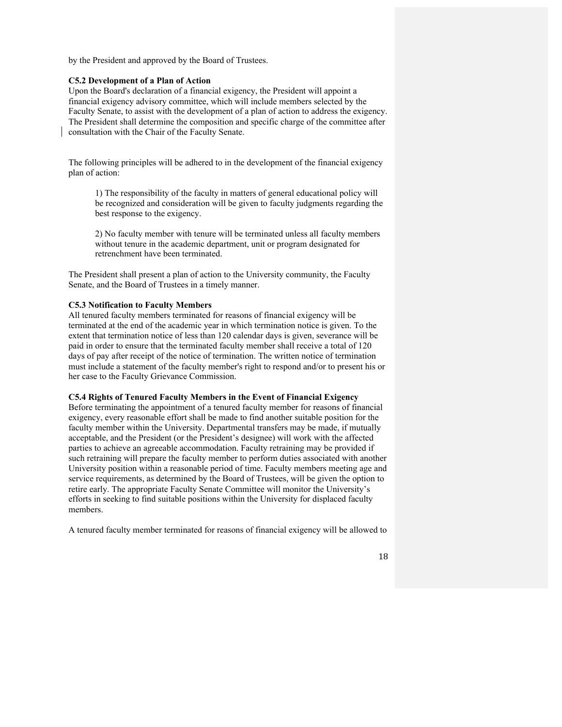by the President and approved by the Board of Trustees.

## **C5.2 Development of a Plan of Action**

Upon the Board's declaration of a financial exigency, the President will appoint a financial exigency advisory committee, which will include members selected by the Faculty Senate, to assist with the development of a plan of action to address the exigency. The President shall determine the composition and specific charge of the committee after consultation with the Chair of the Faculty Senate.

The following principles will be adhered to in the development of the financial exigency plan of action:

1) The responsibility of the faculty in matters of general educational policy will be recognized and consideration will be given to faculty judgments regarding the best response to the exigency.

2) No faculty member with tenure will be terminated unless all faculty members without tenure in the academic department, unit or program designated for retrenchment have been terminated.

The President shall present a plan of action to the University community, the Faculty Senate, and the Board of Trustees in a timely manner.

#### **C5.3 Notification to Faculty Members**

All tenured faculty members terminated for reasons of financial exigency will be terminated at the end of the academic year in which termination notice is given. To the extent that termination notice of less than 120 calendar days is given, severance will be paid in order to ensure that the terminated faculty member shall receive a total of 120 days of pay after receipt of the notice of termination. The written notice of termination must include a statement of the faculty member's right to respond and/or to present his or her case to the Faculty Grievance Commission.

#### **C5.4 Rights of Tenured Faculty Members in the Event of Financial Exigency**

Before terminating the appointment of a tenured faculty member for reasons of financial exigency, every reasonable effort shall be made to find another suitable position for the faculty member within the University. Departmental transfers may be made, if mutually acceptable, and the President (or the President's designee) will work with the affected parties to achieve an agreeable accommodation. Faculty retraining may be provided if such retraining will prepare the faculty member to perform duties associated with another University position within a reasonable period of time. Faculty members meeting age and service requirements, as determined by the Board of Trustees, will be given the option to retire early. The appropriate Faculty Senate Committee will monitor the University's efforts in seeking to find suitable positions within the University for displaced faculty members.

A tenured faculty member terminated for reasons of financial exigency will be allowed to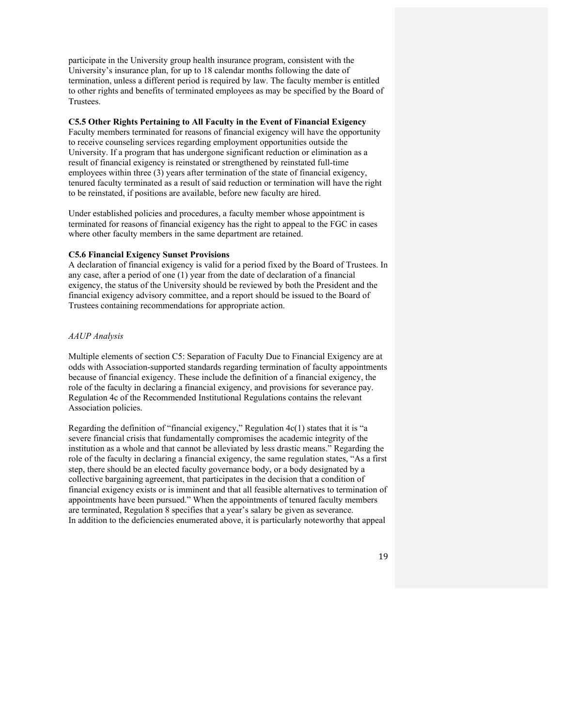participate in the University group health insurance program, consistent with the University's insurance plan, for up to 18 calendar months following the date of termination, unless a different period is required by law. The faculty member is entitled to other rights and benefits of terminated employees as may be specified by the Board of Trustees.

## **C5.5 Other Rights Pertaining to All Faculty in the Event of Financial Exigency**

Faculty members terminated for reasons of financial exigency will have the opportunity to receive counseling services regarding employment opportunities outside the University. If a program that has undergone significant reduction or elimination as a result of financial exigency is reinstated or strengthened by reinstated full-time employees within three (3) years after termination of the state of financial exigency, tenured faculty terminated as a result of said reduction or termination will have the right to be reinstated, if positions are available, before new faculty are hired.

Under established policies and procedures, a faculty member whose appointment is terminated for reasons of financial exigency has the right to appeal to the FGC in cases where other faculty members in the same department are retained.

#### **C5.6 Financial Exigency Sunset Provisions**

A declaration of financial exigency is valid for a period fixed by the Board of Trustees. In any case, after a period of one (1) year from the date of declaration of a financial exigency, the status of the University should be reviewed by both the President and the financial exigency advisory committee, and a report should be issued to the Board of Trustees containing recommendations for appropriate action.

#### *AAUP Analysis*

Multiple elements of section C5: Separation of Faculty Due to Financial Exigency are at odds with Association-supported standards regarding termination of faculty appointments because of financial exigency. These include the definition of a financial exigency, the role of the faculty in declaring a financial exigency, and provisions for severance pay. Regulation 4c of the Recommended Institutional Regulations contains the relevant Association policies.

Regarding the definition of "financial exigency," Regulation 4c(1) states that it is "a severe financial crisis that fundamentally compromises the academic integrity of the institution as a whole and that cannot be alleviated by less drastic means." Regarding the role of the faculty in declaring a financial exigency, the same regulation states, "As a first step, there should be an elected faculty governance body, or a body designated by a collective bargaining agreement, that participates in the decision that a condition of financial exigency exists or is imminent and that all feasible alternatives to termination of appointments have been pursued." When the appointments of tenured faculty members are terminated, Regulation 8 specifies that a year's salary be given as severance. In addition to the deficiencies enumerated above, it is particularly noteworthy that appeal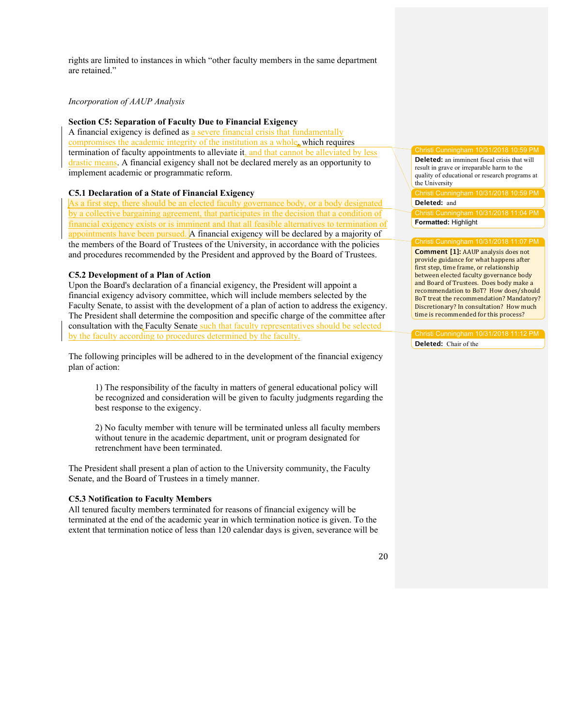rights are limited to instances in which "other faculty members in the same department are retained."

## *Incorporation of AAUP Analysis*

## **Section C5: Separation of Faculty Due to Financial Exigency**

A financial exigency is defined as a severe financial crisis that fundamentally compromises the academic integrity of the institution as a whole, which requires termination of faculty appointments to alleviate it, and that cannot be alleviated by less drastic means. A financial exigency shall not be declared merely as an opportunity to implement academic or programmatic reform.

## **C5.1 Declaration of a State of Financial Exigency**

As a first step, there should be an elected faculty governance body, or a body designated by a collective bargaining agreement, that participates in the decision that a condition of financial exigency exists or is imminent and that all feasible alternatives to termination of appointments have been pursued. A financial exigency will be declared by a majority of the members of the Board of Trustees of the University, in accordance with the policies and procedures recommended by the President and approved by the Board of Trustees.

#### **C5.2 Development of a Plan of Action**

Upon the Board's declaration of a financial exigency, the President will appoint a financial exigency advisory committee, which will include members selected by the Faculty Senate, to assist with the development of a plan of action to address the exigency. The President shall determine the composition and specific charge of the committee after consultation with the Faculty Senate such that faculty representatives should be selected by the faculty according to procedures determined by the faculty.

The following principles will be adhered to in the development of the financial exigency plan of action:

1) The responsibility of the faculty in matters of general educational policy will be recognized and consideration will be given to faculty judgments regarding the best response to the exigency.

2) No faculty member with tenure will be terminated unless all faculty members without tenure in the academic department, unit or program designated for retrenchment have been terminated.

The President shall present a plan of action to the University community, the Faculty Senate, and the Board of Trustees in a timely manner.

#### **C5.3 Notification to Faculty Members**

All tenured faculty members terminated for reasons of financial exigency will be terminated at the end of the academic year in which termination notice is given. To the extent that termination notice of less than 120 calendar days is given, severance will be Christi Cunningham 10/31/2018 10:59 PM

**Deleted:** an imminent fiscal crisis that will result in grave or irreparable harm to the quality of educational or research programs at the University

Christi Cunningham 10/31/2018 10:59 PM

### **Deleted:** and

**Formatted:** Highlight

#### Christi Cunningham 10/31/2018 11:07 PM

**Comment [1]: AAUP** analysis does not provide guidance for what happens after first step, time frame, or relationship between elected faculty governance body and Board of Trustees. Does body make a recommendation to BoT? How does/should BoT treat the recommendation? Mandatory? Discretionary? In consultation? How much time is recommended for this process?

**Deleted:** Chair of the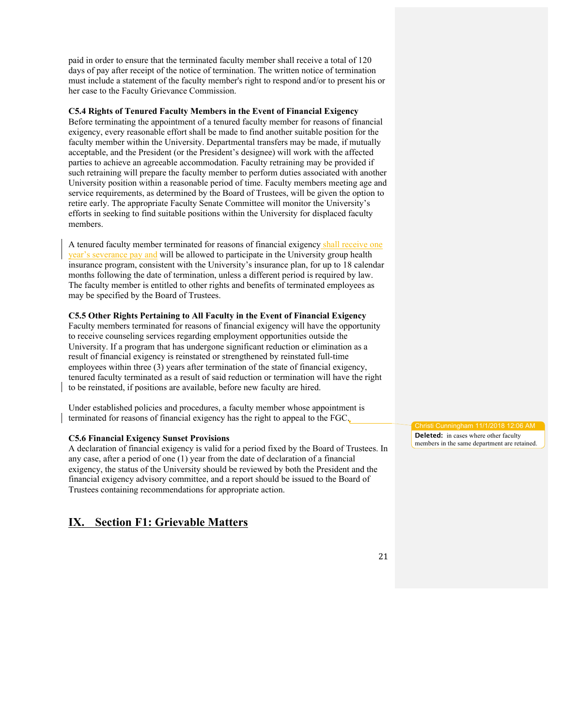paid in order to ensure that the terminated faculty member shall receive a total of 120 days of pay after receipt of the notice of termination. The written notice of termination must include a statement of the faculty member's right to respond and/or to present his or her case to the Faculty Grievance Commission.

## **C5.4 Rights of Tenured Faculty Members in the Event of Financial Exigency**

Before terminating the appointment of a tenured faculty member for reasons of financial exigency, every reasonable effort shall be made to find another suitable position for the faculty member within the University. Departmental transfers may be made, if mutually acceptable, and the President (or the President's designee) will work with the affected parties to achieve an agreeable accommodation. Faculty retraining may be provided if such retraining will prepare the faculty member to perform duties associated with another University position within a reasonable period of time. Faculty members meeting age and service requirements, as determined by the Board of Trustees, will be given the option to retire early. The appropriate Faculty Senate Committee will monitor the University's efforts in seeking to find suitable positions within the University for displaced faculty members.

A tenured faculty member terminated for reasons of financial exigency shall receive one year's severance pay and will be allowed to participate in the University group health insurance program, consistent with the University's insurance plan, for up to 18 calendar months following the date of termination, unless a different period is required by law. The faculty member is entitled to other rights and benefits of terminated employees as may be specified by the Board of Trustees.

**C5.5 Other Rights Pertaining to All Faculty in the Event of Financial Exigency**  Faculty members terminated for reasons of financial exigency will have the opportunity to receive counseling services regarding employment opportunities outside the University. If a program that has undergone significant reduction or elimination as a result of financial exigency is reinstated or strengthened by reinstated full-time employees within three (3) years after termination of the state of financial exigency, tenured faculty terminated as a result of said reduction or termination will have the right to be reinstated, if positions are available, before new faculty are hired.

Under established policies and procedures, a faculty member whose appointment is terminated for reasons of financial exigency has the right to appeal to the FGC.

## **C5.6 Financial Exigency Sunset Provisions**

A declaration of financial exigency is valid for a period fixed by the Board of Trustees. In any case, after a period of one (1) year from the date of declaration of a financial exigency, the status of the University should be reviewed by both the President and the financial exigency advisory committee, and a report should be issued to the Board of Trustees containing recommendations for appropriate action.

## **IX. Section F1: Grievable Matters**

sti Cunningham 11/1/20 **Deleted:** in cases where other faculty members in the same department are retained.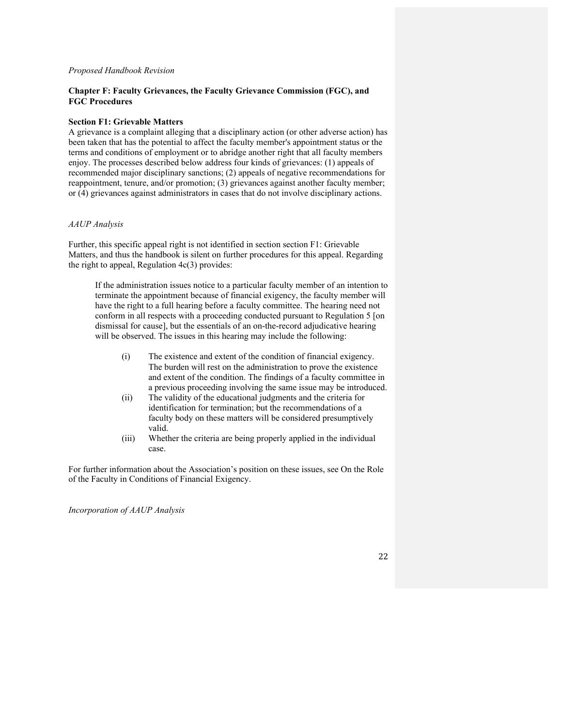#### *Proposed Handbook Revision*

## **Chapter F: Faculty Grievances, the Faculty Grievance Commission (FGC), and FGC Procedures**

## **Section F1: Grievable Matters**

A grievance is a complaint alleging that a disciplinary action (or other adverse action) has been taken that has the potential to affect the faculty member's appointment status or the terms and conditions of employment or to abridge another right that all faculty members enjoy. The processes described below address four kinds of grievances: (1) appeals of recommended major disciplinary sanctions; (2) appeals of negative recommendations for reappointment, tenure, and/or promotion; (3) grievances against another faculty member; or (4) grievances against administrators in cases that do not involve disciplinary actions.

#### *AAUP Analysis*

Further, this specific appeal right is not identified in section section F1: Grievable Matters, and thus the handbook is silent on further procedures for this appeal. Regarding the right to appeal, Regulation  $4c(3)$  provides:

If the administration issues notice to a particular faculty member of an intention to terminate the appointment because of financial exigency, the faculty member will have the right to a full hearing before a faculty committee. The hearing need not conform in all respects with a proceeding conducted pursuant to Regulation 5 [on dismissal for cause], but the essentials of an on-the-record adjudicative hearing will be observed. The issues in this hearing may include the following:

- (i) The existence and extent of the condition of financial exigency. The burden will rest on the administration to prove the existence and extent of the condition. The findings of a faculty committee in a previous proceeding involving the same issue may be introduced.
- (ii) The validity of the educational judgments and the criteria for identification for termination; but the recommendations of a faculty body on these matters will be considered presumptively valid.
- (iii) Whether the criteria are being properly applied in the individual case.

For further information about the Association's position on these issues, see On the Role of the Faculty in Conditions of Financial Exigency.

*Incorporation of AAUP Analysis*

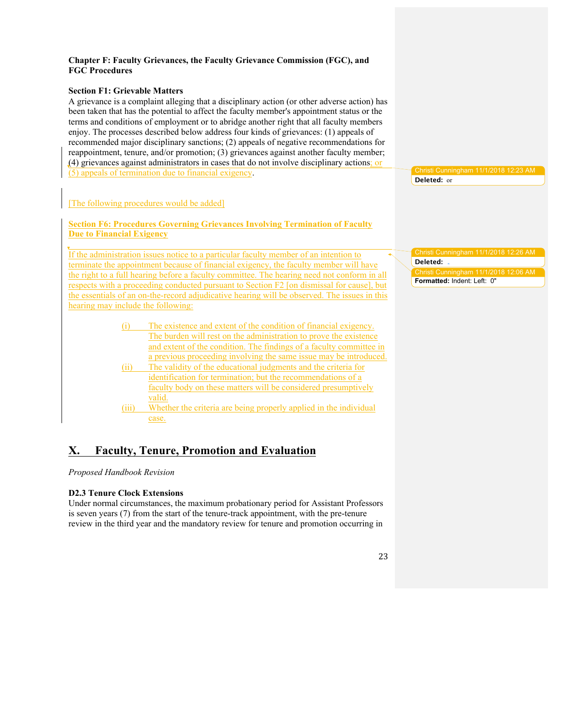## **Chapter F: Faculty Grievances, the Faculty Grievance Commission (FGC), and FGC Procedures**

## **Section F1: Grievable Matters**

A grievance is a complaint alleging that a disciplinary action (or other adverse action) has been taken that has the potential to affect the faculty member's appointment status or the terms and conditions of employment or to abridge another right that all faculty members enjoy. The processes described below address four kinds of grievances: (1) appeals of recommended major disciplinary sanctions; (2) appeals of negative recommendations for reappointment, tenure, and/or promotion; (3) grievances against another faculty member; (4) grievances against administrators in cases that do not involve disciplinary actions; or (5) appeals of termination due to financial exigency.

## [The following procedures would be added]

**Section F6: Procedures Governing Grievances Involving Termination of Faculty Due to Financial Exigency**

If the administration issues notice to a particular faculty member of an intention to terminate the appointment because of financial exigency, the faculty member will have the right to a full hearing before a faculty committee. The hearing need not conform in all respects with a proceeding conducted pursuant to Section F2 [on dismissal for cause], but the essentials of an on-the-record adjudicative hearing will be observed. The issues in this hearing may include the following:

| The existence and extent of the condition of financial exigency.    |
|---------------------------------------------------------------------|
| The burden will rest on the administration to prove the existence   |
| and extent of the condition. The findings of a faculty committee in |
| a previous proceeding involving the same issue may be introduced.   |
| The validity of the educational judgments and the criteria for      |
| identification for termination; but the recommendations of a        |
| faculty body on these matters will be considered presumptively      |
| valid.                                                              |

(iii) Whether the criteria are being properly applied in the individual case.

# **X. Faculty, Tenure, Promotion and Evaluation**

## *Proposed Handbook Revision*

## **D2.3 Tenure Clock Extensions**

Under normal circumstances, the maximum probationary period for Assistant Professors is seven years (7) from the start of the tenure-track appointment, with the pre-tenure review in the third year and the mandatory review for tenure and promotion occurring in **Deleted:** or

**Deleted: Formatted:** Indent: Left: 0"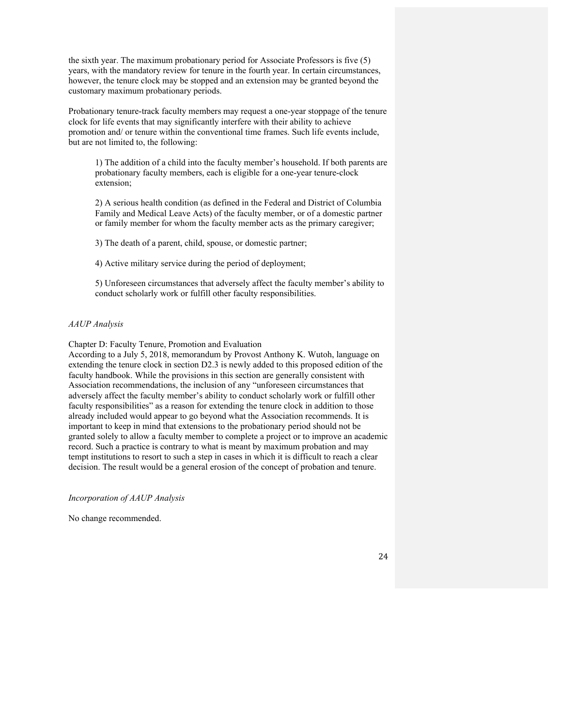the sixth year. The maximum probationary period for Associate Professors is five (5) years, with the mandatory review for tenure in the fourth year. In certain circumstances, however, the tenure clock may be stopped and an extension may be granted beyond the customary maximum probationary periods.

Probationary tenure-track faculty members may request a one-year stoppage of the tenure clock for life events that may significantly interfere with their ability to achieve promotion and/ or tenure within the conventional time frames. Such life events include, but are not limited to, the following:

1) The addition of a child into the faculty member's household. If both parents are probationary faculty members, each is eligible for a one-year tenure-clock extension;

2) A serious health condition (as defined in the Federal and District of Columbia Family and Medical Leave Acts) of the faculty member, or of a domestic partner or family member for whom the faculty member acts as the primary caregiver;

3) The death of a parent, child, spouse, or domestic partner;

4) Active military service during the period of deployment;

5) Unforeseen circumstances that adversely affect the faculty member's ability to conduct scholarly work or fulfill other faculty responsibilities.

## *AAUP Analysis*

Chapter D: Faculty Tenure, Promotion and Evaluation

According to a July 5, 2018, memorandum by Provost Anthony K. Wutoh, language on extending the tenure clock in section D2.3 is newly added to this proposed edition of the faculty handbook. While the provisions in this section are generally consistent with Association recommendations, the inclusion of any "unforeseen circumstances that adversely affect the faculty member's ability to conduct scholarly work or fulfill other faculty responsibilities" as a reason for extending the tenure clock in addition to those already included would appear to go beyond what the Association recommends. It is important to keep in mind that extensions to the probationary period should not be granted solely to allow a faculty member to complete a project or to improve an academic record. Such a practice is contrary to what is meant by maximum probation and may tempt institutions to resort to such a step in cases in which it is difficult to reach a clear decision. The result would be a general erosion of the concept of probation and tenure.

*Incorporation of AAUP Analysis*

No change recommended.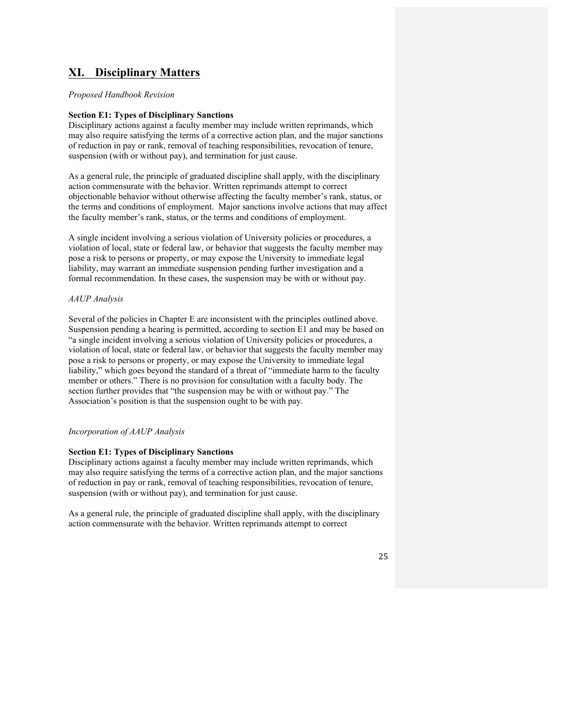## **XI. Disciplinary Matters**

## *Proposed Handbook Revision*

### **Section E1: Types of Disciplinary Sanctions**

Disciplinary actions against a faculty member may include written reprimands, which may also require satisfying the terms of a corrective action plan, and the major sanctions of reduction in pay or rank, removal of teaching responsibilities, revocation of tenure, suspension (with or without pay), and termination for just cause.

As a general rule, the principle of graduated discipline shall apply, with the disciplinary action commensurate with the behavior. Written reprimands attempt to correct objectionable behavior without otherwise affecting the faculty member's rank, status, or the terms and conditions of employment. Major sanctions involve actions that may affect the faculty member's rank, status, or the terms and conditions of employment.

A single incident involving a serious violation of University policies or procedures, a violation of local, state or federal law, or behavior that suggests the faculty member may pose a risk to persons or property, or may expose the University to immediate legal liability, may warrant an immediate suspension pending further investigation and a formal recommendation. In these cases, the suspension may be with or without pay.

## *AAUP Analysis*

Several of the policies in Chapter E are inconsistent with the principles outlined above. Suspension pending a hearing is permitted, according to section E1 and may be based on "a single incident involving a serious violation of University policies or procedures, a violation of local, state or federal law, or behavior that suggests the faculty member may pose a risk to persons or property, or may expose the University to immediate legal liability," which goes beyond the standard of a threat of "immediate harm to the faculty member or others." There is no provision for consultation with a faculty body. The section further provides that "the suspension may be with or without pay." The Association's position is that the suspension ought to be with pay.

#### *Incorporation of AAUP Analysis*

#### **Section E1: Types of Disciplinary Sanctions**

Disciplinary actions against a faculty member may include written reprimands, which may also require satisfying the terms of a corrective action plan, and the major sanctions of reduction in pay or rank, removal of teaching responsibilities, revocation of tenure, suspension (with or without pay), and termination for just cause.

As a general rule, the principle of graduated discipline shall apply, with the disciplinary action commensurate with the behavior. Written reprimands attempt to correct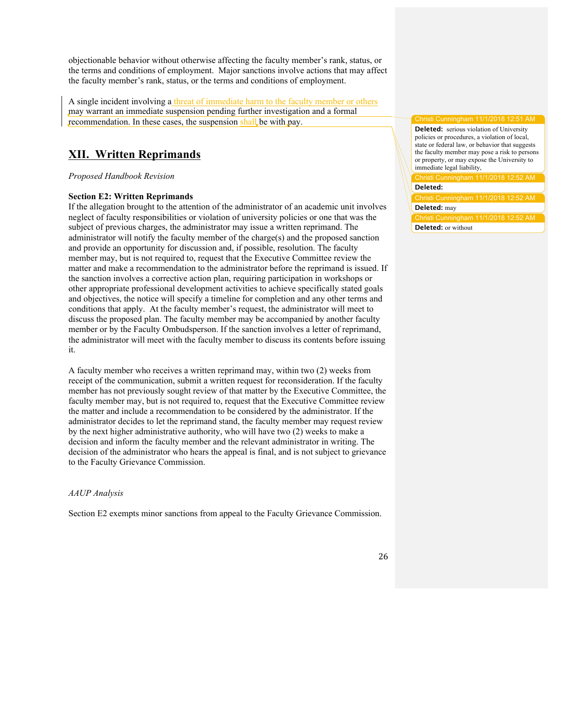objectionable behavior without otherwise affecting the faculty member's rank, status, or the terms and conditions of employment. Major sanctions involve actions that may affect the faculty member's rank, status, or the terms and conditions of employment.

A single incident involving a threat of immediate harm to the faculty member or others may warrant an immediate suspension pending further investigation and a formal recommendation. In these cases, the suspension shall be with pay.

## **XII. Written Reprimands**

*Proposed Handbook Revision*

### **Section E2: Written Reprimands**

If the allegation brought to the attention of the administrator of an academic unit involves neglect of faculty responsibilities or violation of university policies or one that was the subject of previous charges, the administrator may issue a written reprimand. The administrator will notify the faculty member of the charge(s) and the proposed sanction and provide an opportunity for discussion and, if possible, resolution. The faculty member may, but is not required to, request that the Executive Committee review the matter and make a recommendation to the administrator before the reprimand is issued. If the sanction involves a corrective action plan, requiring participation in workshops or other appropriate professional development activities to achieve specifically stated goals and objectives, the notice will specify a timeline for completion and any other terms and conditions that apply. At the faculty member's request, the administrator will meet to discuss the proposed plan. The faculty member may be accompanied by another faculty member or by the Faculty Ombudsperson. If the sanction involves a letter of reprimand, the administrator will meet with the faculty member to discuss its contents before issuing it.

A faculty member who receives a written reprimand may, within two (2) weeks from receipt of the communication, submit a written request for reconsideration. If the faculty member has not previously sought review of that matter by the Executive Committee, the faculty member may, but is not required to, request that the Executive Committee review the matter and include a recommendation to be considered by the administrator. If the administrator decides to let the reprimand stand, the faculty member may request review by the next higher administrative authority, who will have two (2) weeks to make a decision and inform the faculty member and the relevant administrator in writing. The decision of the administrator who hears the appeal is final, and is not subject to grievance to the Faculty Grievance Commission.

#### *AAUP Analysis*

Section E2 exempts minor sanctions from appeal to the Faculty Grievance Commission.

#### Christi Cunningham 11/1/2018 12:51 AM

**Deleted:** serious violation of University policies or procedures, a violation of local, state or federal law, or behavior that suggests the faculty member may pose a risk to persons or property, or may expose the University to immediate legal liability,

#### risti Cunningham 11/1/2018 12:52 AM **Deleted:**

**Deleted:** may **Deleted:** or without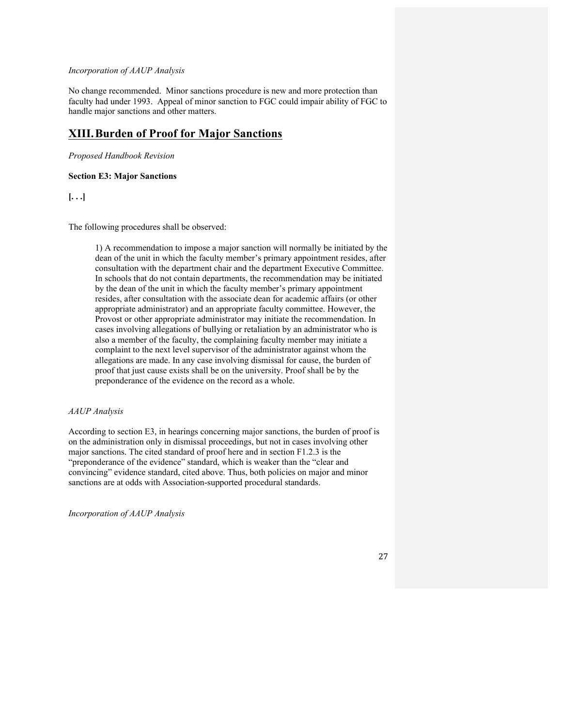## *Incorporation of AAUP Analysis*

No change recommended. Minor sanctions procedure is new and more protection than faculty had under 1993. Appeal of minor sanction to FGC could impair ability of FGC to handle major sanctions and other matters.

## **XIII.Burden of Proof for Major Sanctions**

*Proposed Handbook Revision*

## **Section E3: Major Sanctions**

**[. . .]**

The following procedures shall be observed:

1) A recommendation to impose a major sanction will normally be initiated by the dean of the unit in which the faculty member's primary appointment resides, after consultation with the department chair and the department Executive Committee. In schools that do not contain departments, the recommendation may be initiated by the dean of the unit in which the faculty member's primary appointment resides, after consultation with the associate dean for academic affairs (or other appropriate administrator) and an appropriate faculty committee. However, the Provost or other appropriate administrator may initiate the recommendation. In cases involving allegations of bullying or retaliation by an administrator who is also a member of the faculty, the complaining faculty member may initiate a complaint to the next level supervisor of the administrator against whom the allegations are made. In any case involving dismissal for cause, the burden of proof that just cause exists shall be on the university. Proof shall be by the preponderance of the evidence on the record as a whole.

## *AAUP Analysis*

According to section E3, in hearings concerning major sanctions, the burden of proof is on the administration only in dismissal proceedings, but not in cases involving other major sanctions. The cited standard of proof here and in section F1.2.3 is the "preponderance of the evidence" standard, which is weaker than the "clear and convincing" evidence standard, cited above. Thus, both policies on major and minor sanctions are at odds with Association-supported procedural standards.

*Incorporation of AAUP Analysis*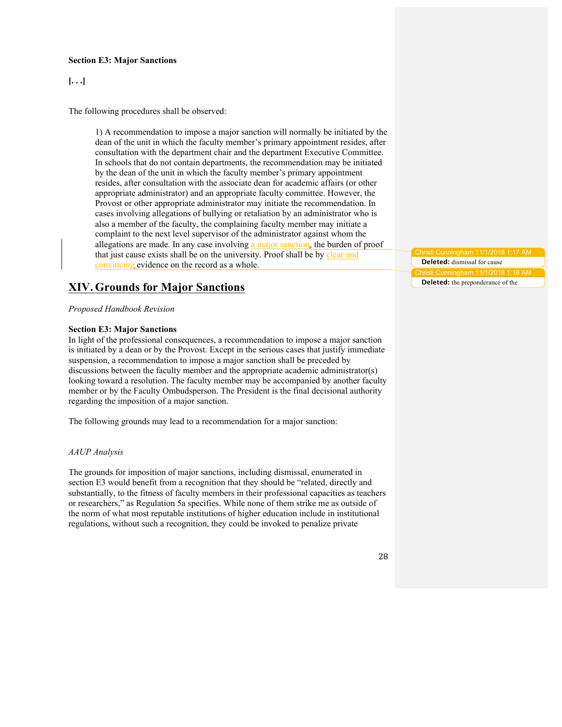## **Section E3: Major Sanctions**

## **[. . .]**

The following procedures shall be observed:

1) A recommendation to impose a major sanction will normally be initiated by the dean of the unit in which the faculty member's primary appointment resides, after consultation with the department chair and the department Executive Committee. In schools that do not contain departments, the recommendation may be initiated by the dean of the unit in which the faculty member's primary appointment resides, after consultation with the associate dean for academic affairs (or other appropriate administrator) and an appropriate faculty committee. However, the Provost or other appropriate administrator may initiate the recommendation. In cases involving allegations of bullying or retaliation by an administrator who is also a member of the faculty, the complaining faculty member may initiate a complaint to the next level supervisor of the administrator against whom the allegations are made. In any case involving a major sanction, the burden of proof that just cause exists shall be on the university. Proof shall be by clear and convincing evidence on the record as a whole.

# **XIV. Grounds for Major Sanctions**

## *Proposed Handbook Revision*

### **Section E3: Major Sanctions**

In light of the professional consequences, a recommendation to impose a major sanction is initiated by a dean or by the Provost. Except in the serious cases that justify immediate suspension, a recommendation to impose a major sanction shall be preceded by discussions between the faculty member and the appropriate academic administrator(s) looking toward a resolution. The faculty member may be accompanied by another faculty member or by the Faculty Ombudsperson. The President is the final decisional authority regarding the imposition of a major sanction.

The following grounds may lead to a recommendation for a major sanction:

#### *AAUP Analysis*

The grounds for imposition of major sanctions, including dismissal, enumerated in section E3 would benefit from a recognition that they should be "related, directly and substantially, to the fitness of faculty members in their professional capacities as teachers or researchers," as Regulation 5a specifies. While none of them strike me as outside of the norm of what most reputable institutions of higher education include in institutional regulations, without such a recognition, they could be invoked to penalize private

risti Cunningham 11/1/2018 1:17 **Deleted:** dismissal for cause  $i$  Cunningham 11/1/2018 1:18 **Deleted:** the preponderance of the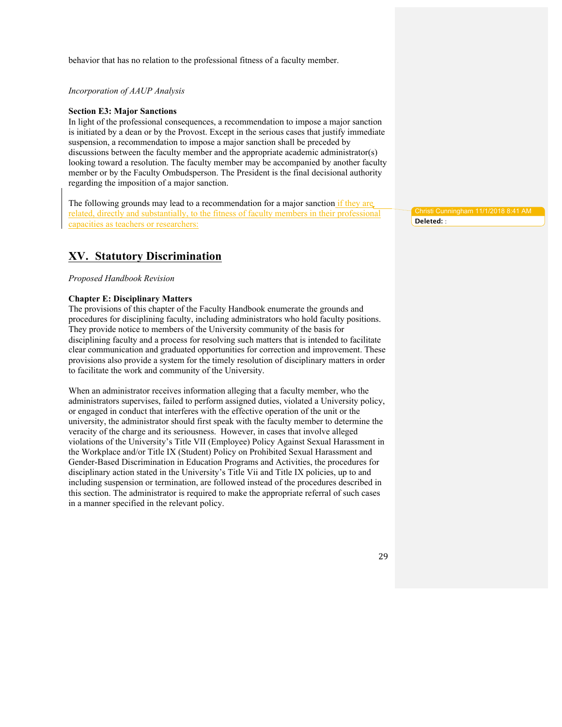behavior that has no relation to the professional fitness of a faculty member.

*Incorporation of AAUP Analysis*

#### **Section E3: Major Sanctions**

In light of the professional consequences, a recommendation to impose a major sanction is initiated by a dean or by the Provost. Except in the serious cases that justify immediate suspension, a recommendation to impose a major sanction shall be preceded by discussions between the faculty member and the appropriate academic administrator(s) looking toward a resolution. The faculty member may be accompanied by another faculty member or by the Faculty Ombudsperson. The President is the final decisional authority regarding the imposition of a major sanction.

The following grounds may lead to a recommendation for a major sanction if they are related, directly and substantially, to the fitness of faculty members in their professional capacities as teachers or researchers:

## **XV. Statutory Discrimination**

*Proposed Handbook Revision*

## **Chapter E: Disciplinary Matters**

The provisions of this chapter of the Faculty Handbook enumerate the grounds and procedures for disciplining faculty, including administrators who hold faculty positions. They provide notice to members of the University community of the basis for disciplining faculty and a process for resolving such matters that is intended to facilitate clear communication and graduated opportunities for correction and improvement. These provisions also provide a system for the timely resolution of disciplinary matters in order to facilitate the work and community of the University.

When an administrator receives information alleging that a faculty member, who the administrators supervises, failed to perform assigned duties, violated a University policy, or engaged in conduct that interferes with the effective operation of the unit or the university, the administrator should first speak with the faculty member to determine the veracity of the charge and its seriousness. However, in cases that involve alleged violations of the University's Title VII (Employee) Policy Against Sexual Harassment in the Workplace and/or Title IX (Student) Policy on Prohibited Sexual Harassment and Gender-Based Discrimination in Education Programs and Activities, the procedures for disciplinary action stated in the University's Title Vii and Title IX policies, up to and including suspension or termination, are followed instead of the procedures described in this section. The administrator is required to make the appropriate referral of such cases in a manner specified in the relevant policy.

Christi Cunningham 11/1/2018 8:41 AM **Deleted:** :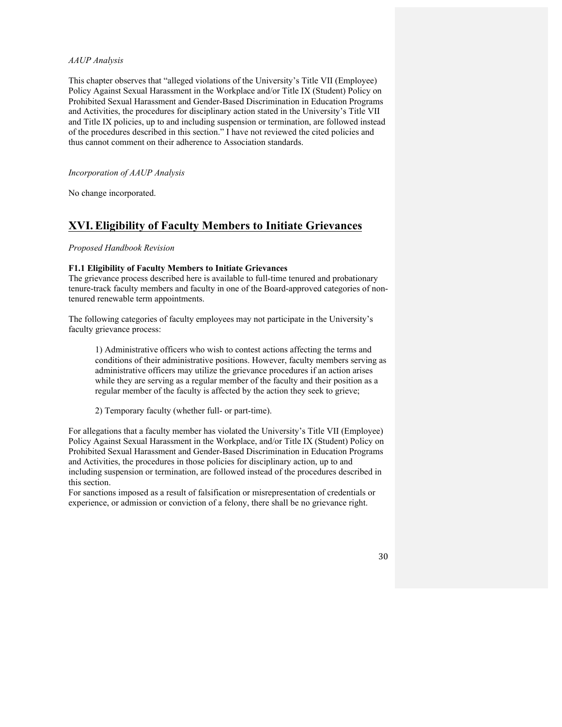## *AAUP Analysis*

This chapter observes that "alleged violations of the University's Title VII (Employee) Policy Against Sexual Harassment in the Workplace and/or Title IX (Student) Policy on Prohibited Sexual Harassment and Gender-Based Discrimination in Education Programs and Activities, the procedures for disciplinary action stated in the University's Title VII and Title IX policies, up to and including suspension or termination, are followed instead of the procedures described in this section." I have not reviewed the cited policies and thus cannot comment on their adherence to Association standards.

*Incorporation of AAUP Analysis*

No change incorporated.

## **XVI. Eligibility of Faculty Members to Initiate Grievances**

*Proposed Handbook Revision*

## **F1.1 Eligibility of Faculty Members to Initiate Grievances**

The grievance process described here is available to full-time tenured and probationary tenure-track faculty members and faculty in one of the Board-approved categories of nontenured renewable term appointments.

The following categories of faculty employees may not participate in the University's faculty grievance process:

1) Administrative officers who wish to contest actions affecting the terms and conditions of their administrative positions. However, faculty members serving as administrative officers may utilize the grievance procedures if an action arises while they are serving as a regular member of the faculty and their position as a regular member of the faculty is affected by the action they seek to grieve;

2) Temporary faculty (whether full- or part-time).

For allegations that a faculty member has violated the University's Title VII (Employee) Policy Against Sexual Harassment in the Workplace, and/or Title IX (Student) Policy on Prohibited Sexual Harassment and Gender-Based Discrimination in Education Programs and Activities, the procedures in those policies for disciplinary action, up to and including suspension or termination, are followed instead of the procedures described in this section.

For sanctions imposed as a result of falsification or misrepresentation of credentials or experience, or admission or conviction of a felony, there shall be no grievance right.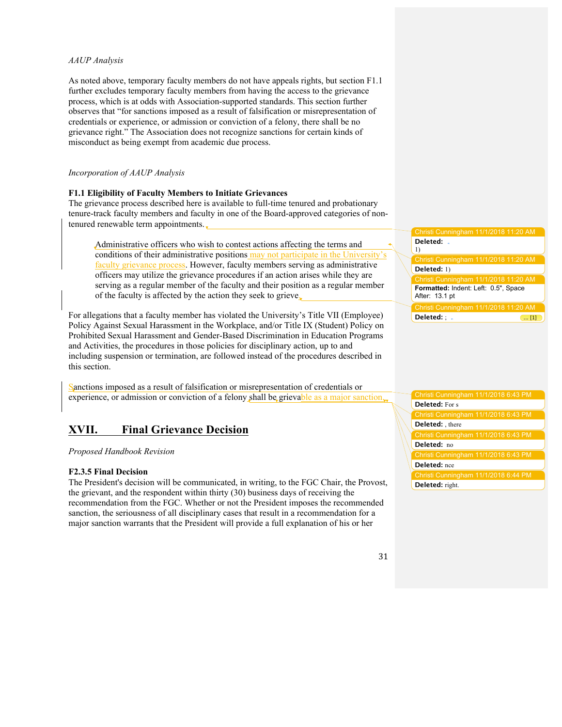## *AAUP Analysis*

As noted above, temporary faculty members do not have appeals rights, but section F1.1 further excludes temporary faculty members from having the access to the grievance process, which is at odds with Association-supported standards. This section further observes that "for sanctions imposed as a result of falsification or misrepresentation of credentials or experience, or admission or conviction of a felony, there shall be no grievance right." The Association does not recognize sanctions for certain kinds of misconduct as being exempt from academic due process.

## *Incorporation of AAUP Analysis*

## **F1.1 Eligibility of Faculty Members to Initiate Grievances**

The grievance process described here is available to full-time tenured and probationary tenure-track faculty members and faculty in one of the Board-approved categories of nontenured renewable term appointments.

Administrative officers who wish to contest actions affecting the terms and conditions of their administrative positions may not participate in the University's faculty grievance process. However, faculty members serving as administrative officers may utilize the grievance procedures if an action arises while they are serving as a regular member of the faculty and their position as a regular member of the faculty is affected by the action they seek to grieve.

For allegations that a faculty member has violated the University's Title VII (Employee) Policy Against Sexual Harassment in the Workplace, and/or Title IX (Student) Policy on Prohibited Sexual Harassment and Gender-Based Discrimination in Education Programs and Activities, the procedures in those policies for disciplinary action, up to and including suspension or termination, are followed instead of the procedures described in this section.

Sanctions imposed as a result of falsification or misrepresentation of credentials or experience, or admission or conviction of a felony shall be grievable as a major sanction.

## **XVII. Final Grievance Decision**

## *Proposed Handbook Revision*

## **F2.3.5 Final Decision**

The President's decision will be communicated, in writing, to the FGC Chair, the Provost, the grievant, and the respondent within thirty (30) business days of receiving the recommendation from the FGC. Whether or not the President imposes the recommended sanction, the seriousness of all disciplinary cases that result in a recommendation for a major sanction warrants that the President will provide a full explanation of his or her

| Christi Cunningham 11/1/2018 11:20 AM                  |  |  |
|--------------------------------------------------------|--|--|
| Deleted: .<br>1)                                       |  |  |
| Christi Cunningham 11/1/2018 11:20 AM                  |  |  |
| Deleted: 1)                                            |  |  |
| Christi Cunningham 11/1/2018 11:20 AM                  |  |  |
| Formatted: Indent: Left: 0.5", Space<br>After: 13.1 pt |  |  |
| Christi Cunningham 11/1/2018 11:20 AM                  |  |  |
| Deleted: $\therefore$<br>. [1]                         |  |  |

| Christi Cunningham 11/1/2018 6:43 PM |  |  |
|--------------------------------------|--|--|
| <b>Deleted:</b> For s                |  |  |
| Christi Cunningham 11/1/2018 6:43 PM |  |  |
| Deleted: there                       |  |  |
| Christi Cunningham 11/1/2018 6:43 PM |  |  |
| Deleted: no                          |  |  |
| Christi Cunningham 11/1/2018 6:43 PM |  |  |
| <b>Deleted:</b> nce                  |  |  |
| Christi Cunningham 11/1/2018 6:44 PM |  |  |
| Deleted: right.                      |  |  |
|                                      |  |  |

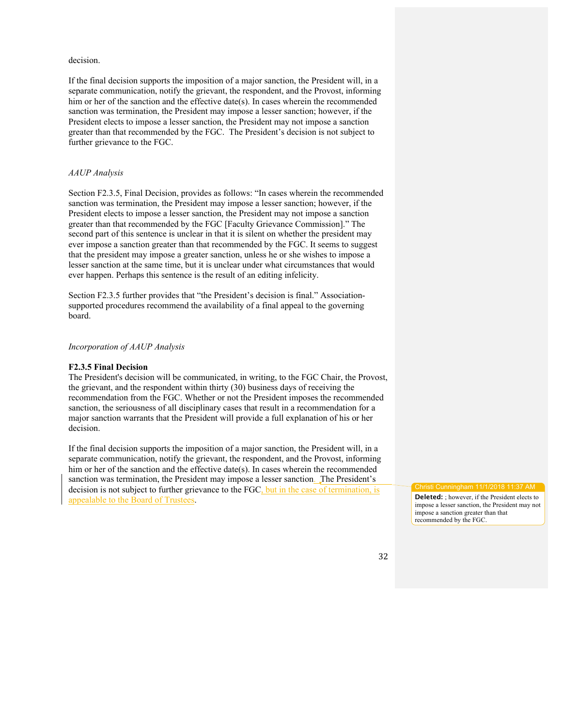#### decision.

If the final decision supports the imposition of a major sanction, the President will, in a separate communication, notify the grievant, the respondent, and the Provost, informing him or her of the sanction and the effective date(s). In cases wherein the recommended sanction was termination, the President may impose a lesser sanction; however, if the President elects to impose a lesser sanction, the President may not impose a sanction greater than that recommended by the FGC. The President's decision is not subject to further grievance to the FGC.

#### *AAUP Analysis*

Section F2.3.5, Final Decision, provides as follows: "In cases wherein the recommended sanction was termination, the President may impose a lesser sanction; however, if the President elects to impose a lesser sanction, the President may not impose a sanction greater than that recommended by the FGC [Faculty Grievance Commission]." The second part of this sentence is unclear in that it is silent on whether the president may ever impose a sanction greater than that recommended by the FGC. It seems to suggest that the president may impose a greater sanction, unless he or she wishes to impose a lesser sanction at the same time, but it is unclear under what circumstances that would ever happen. Perhaps this sentence is the result of an editing infelicity.

Section F2.3.5 further provides that "the President's decision is final." Associationsupported procedures recommend the availability of a final appeal to the governing board.

## *Incorporation of AAUP Analysis*

#### **F2.3.5 Final Decision**

The President's decision will be communicated, in writing, to the FGC Chair, the Provost, the grievant, and the respondent within thirty (30) business days of receiving the recommendation from the FGC. Whether or not the President imposes the recommended sanction, the seriousness of all disciplinary cases that result in a recommendation for a major sanction warrants that the President will provide a full explanation of his or her decision.

If the final decision supports the imposition of a major sanction, the President will, in a separate communication, notify the grievant, the respondent, and the Provost, informing him or her of the sanction and the effective date(s). In cases wherein the recommended sanction was termination, the President may impose a lesser sanction. The President's decision is not subject to further grievance to the FGC, but in the case of termination, is appealable to the Board of Trustees.

Christi Cunningham 11/1/2018 11:37 AM

**Deleted:** ; however, if the President elects to impose a lesser sanction, the President may not impose a sanction greater than that recommended by the FGC.